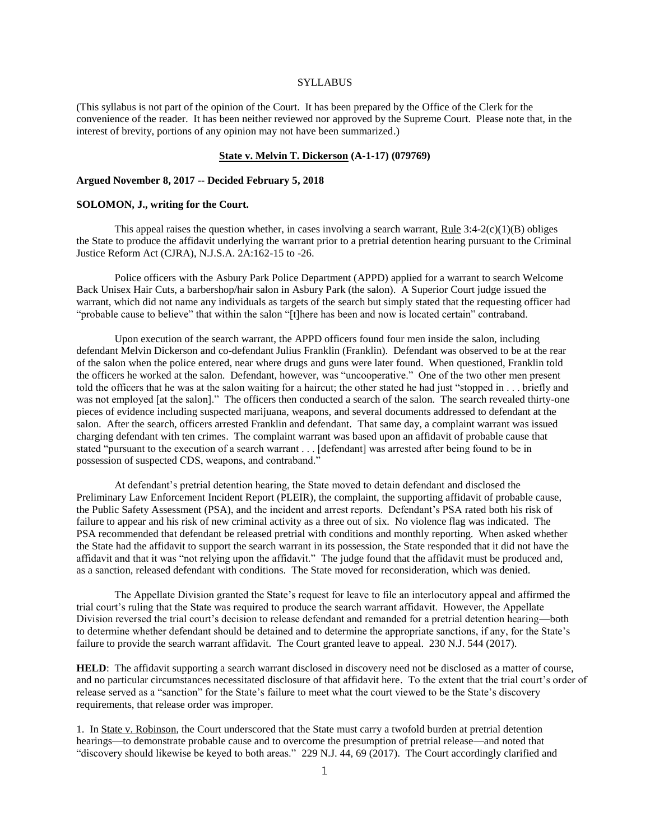# **SYLLABUS**

(This syllabus is not part of the opinion of the Court. It has been prepared by the Office of the Clerk for the convenience of the reader. It has been neither reviewed nor approved by the Supreme Court. Please note that, in the interest of brevity, portions of any opinion may not have been summarized.)

# **State v. Melvin T. Dickerson (A-1-17) (079769)**

## **Argued November 8, 2017 -- Decided February 5, 2018**

# **SOLOMON, J., writing for the Court.**

This appeal raises the question whether, in cases involving a search warrant, Rule  $3:4-2(c)(1)(B)$  obliges the State to produce the affidavit underlying the warrant prior to a pretrial detention hearing pursuant to the Criminal Justice Reform Act (CJRA), N.J.S.A. 2A:162-15 to -26.

Police officers with the Asbury Park Police Department (APPD) applied for a warrant to search Welcome Back Unisex Hair Cuts, a barbershop/hair salon in Asbury Park (the salon). A Superior Court judge issued the warrant, which did not name any individuals as targets of the search but simply stated that the requesting officer had "probable cause to believe" that within the salon "[t]here has been and now is located certain" contraband.

Upon execution of the search warrant, the APPD officers found four men inside the salon, including defendant Melvin Dickerson and co-defendant Julius Franklin (Franklin). Defendant was observed to be at the rear of the salon when the police entered, near where drugs and guns were later found. When questioned, Franklin told the officers he worked at the salon. Defendant, however, was "uncooperative." One of the two other men present told the officers that he was at the salon waiting for a haircut; the other stated he had just "stopped in . . . briefly and was not employed [at the salon]." The officers then conducted a search of the salon. The search revealed thirty-one pieces of evidence including suspected marijuana, weapons, and several documents addressed to defendant at the salon. After the search, officers arrested Franklin and defendant. That same day, a complaint warrant was issued charging defendant with ten crimes. The complaint warrant was based upon an affidavit of probable cause that stated "pursuant to the execution of a search warrant . . . [defendant] was arrested after being found to be in possession of suspected CDS, weapons, and contraband."

At defendant's pretrial detention hearing, the State moved to detain defendant and disclosed the Preliminary Law Enforcement Incident Report (PLEIR), the complaint, the supporting affidavit of probable cause, the Public Safety Assessment (PSA), and the incident and arrest reports. Defendant's PSA rated both his risk of failure to appear and his risk of new criminal activity as a three out of six. No violence flag was indicated. The PSA recommended that defendant be released pretrial with conditions and monthly reporting. When asked whether the State had the affidavit to support the search warrant in its possession, the State responded that it did not have the affidavit and that it was "not relying upon the affidavit." The judge found that the affidavit must be produced and, as a sanction, released defendant with conditions. The State moved for reconsideration, which was denied.

The Appellate Division granted the State's request for leave to file an interlocutory appeal and affirmed the trial court's ruling that the State was required to produce the search warrant affidavit. However, the Appellate Division reversed the trial court's decision to release defendant and remanded for a pretrial detention hearing—both to determine whether defendant should be detained and to determine the appropriate sanctions, if any, for the State's failure to provide the search warrant affidavit. The Court granted leave to appeal. 230 N.J. 544 (2017).

**HELD**: The affidavit supporting a search warrant disclosed in discovery need not be disclosed as a matter of course, and no particular circumstances necessitated disclosure of that affidavit here. To the extent that the trial court's order of release served as a "sanction" for the State's failure to meet what the court viewed to be the State's discovery requirements, that release order was improper.

1. In State v. Robinson, the Court underscored that the State must carry a twofold burden at pretrial detention hearings—to demonstrate probable cause and to overcome the presumption of pretrial release—and noted that "discovery should likewise be keyed to both areas." 229 N.J. 44, 69 (2017). The Court accordingly clarified and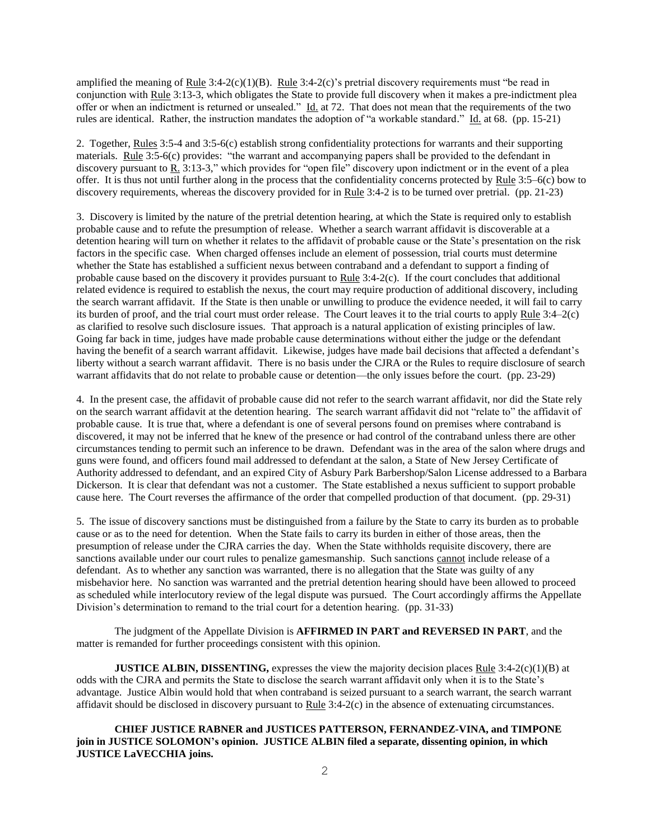amplified the meaning of Rule  $3:4-2(c)(1)(B)$ . Rule  $3:4-2(c)$ 's pretrial discovery requirements must "be read in conjunction with Rule 3:13-3, which obligates the State to provide full discovery when it makes a pre-indictment plea offer or when an indictment is returned or unsealed." Id. at 72. That does not mean that the requirements of the two rules are identical. Rather, the instruction mandates the adoption of "a workable standard." Id. at 68. (pp. 15-21)

2. Together, Rules 3:5-4 and 3:5-6(c) establish strong confidentiality protections for warrants and their supporting materials. Rule 3:5-6(c) provides: "the warrant and accompanying papers shall be provided to the defendant in discovery pursuant to  $\underline{R}$ . 3:13-3," which provides for "open file" discovery upon indictment or in the event of a plea offer. It is thus not until further along in the process that the confidentiality concerns protected by Rule 3:5–6(c) bow to discovery requirements, whereas the discovery provided for in Rule 3:4-2 is to be turned over pretrial. (pp. 21-23)

3. Discovery is limited by the nature of the pretrial detention hearing, at which the State is required only to establish probable cause and to refute the presumption of release. Whether a search warrant affidavit is discoverable at a detention hearing will turn on whether it relates to the affidavit of probable cause or the State's presentation on the risk factors in the specific case. When charged offenses include an element of possession, trial courts must determine whether the State has established a sufficient nexus between contraband and a defendant to support a finding of probable cause based on the discovery it provides pursuant to Rule 3:4-2(c). If the court concludes that additional related evidence is required to establish the nexus, the court may require production of additional discovery, including the search warrant affidavit. If the State is then unable or unwilling to produce the evidence needed, it will fail to carry its burden of proof, and the trial court must order release. The Court leaves it to the trial courts to apply Rule 3:4–2(c) as clarified to resolve such disclosure issues. That approach is a natural application of existing principles of law. Going far back in time, judges have made probable cause determinations without either the judge or the defendant having the benefit of a search warrant affidavit. Likewise, judges have made bail decisions that affected a defendant's liberty without a search warrant affidavit. There is no basis under the CJRA or the Rules to require disclosure of search warrant affidavits that do not relate to probable cause or detention—the only issues before the court. (pp. 23-29)

4. In the present case, the affidavit of probable cause did not refer to the search warrant affidavit, nor did the State rely on the search warrant affidavit at the detention hearing. The search warrant affidavit did not "relate to" the affidavit of probable cause. It is true that, where a defendant is one of several persons found on premises where contraband is discovered, it may not be inferred that he knew of the presence or had control of the contraband unless there are other circumstances tending to permit such an inference to be drawn. Defendant was in the area of the salon where drugs and guns were found, and officers found mail addressed to defendant at the salon, a State of New Jersey Certificate of Authority addressed to defendant, and an expired City of Asbury Park Barbershop/Salon License addressed to a Barbara Dickerson. It is clear that defendant was not a customer. The State established a nexus sufficient to support probable cause here. The Court reverses the affirmance of the order that compelled production of that document. (pp. 29-31)

5. The issue of discovery sanctions must be distinguished from a failure by the State to carry its burden as to probable cause or as to the need for detention. When the State fails to carry its burden in either of those areas, then the presumption of release under the CJRA carries the day. When the State withholds requisite discovery, there are sanctions available under our court rules to penalize gamesmanship. Such sanctions cannot include release of a defendant. As to whether any sanction was warranted, there is no allegation that the State was guilty of any misbehavior here. No sanction was warranted and the pretrial detention hearing should have been allowed to proceed as scheduled while interlocutory review of the legal dispute was pursued. The Court accordingly affirms the Appellate Division's determination to remand to the trial court for a detention hearing. (pp. 31-33)

The judgment of the Appellate Division is **AFFIRMED IN PART and REVERSED IN PART**, and the matter is remanded for further proceedings consistent with this opinion.

**JUSTICE ALBIN, DISSENTING,** expresses the view the majority decision places Rule  $3:4-2(c)(1)(B)$  at odds with the CJRA and permits the State to disclose the search warrant affidavit only when it is to the State's advantage. Justice Albin would hold that when contraband is seized pursuant to a search warrant, the search warrant affidavit should be disclosed in discovery pursuant to Rule  $3:4-2(c)$  in the absence of extenuating circumstances.

**CHIEF JUSTICE RABNER and JUSTICES PATTERSON, FERNANDEZ-VINA, and TIMPONE join in JUSTICE SOLOMON's opinion. JUSTICE ALBIN filed a separate, dissenting opinion, in which JUSTICE LaVECCHIA joins.**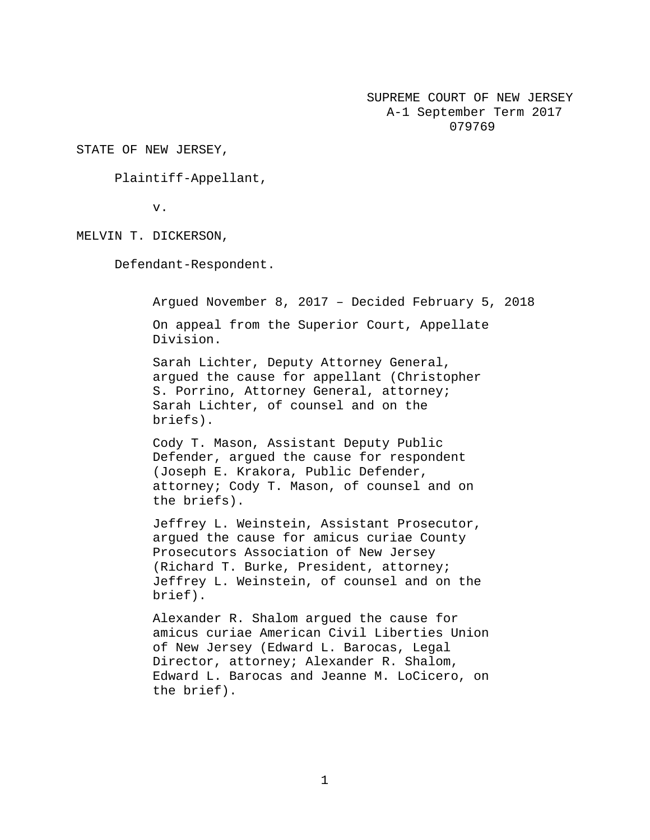SUPREME COURT OF NEW JERSEY A-1 September Term 2017 079769

STATE OF NEW JERSEY,

Plaintiff-Appellant,

v.

MELVIN T. DICKERSON,

Defendant-Respondent.

Argued November 8, 2017 – Decided February 5, 2018 On appeal from the Superior Court, Appellate Division.

Sarah Lichter, Deputy Attorney General, argued the cause for appellant (Christopher S. Porrino, Attorney General, attorney; Sarah Lichter, of counsel and on the briefs).

Cody T. Mason, Assistant Deputy Public Defender, argued the cause for respondent (Joseph E. Krakora, Public Defender, attorney; Cody T. Mason, of counsel and on the briefs).

Jeffrey L. Weinstein, Assistant Prosecutor, argued the cause for amicus curiae County Prosecutors Association of New Jersey (Richard T. Burke, President, attorney; Jeffrey L. Weinstein, of counsel and on the brief).

Alexander R. Shalom argued the cause for amicus curiae American Civil Liberties Union of New Jersey (Edward L. Barocas, Legal Director, attorney; Alexander R. Shalom, Edward L. Barocas and Jeanne M. LoCicero, on the brief).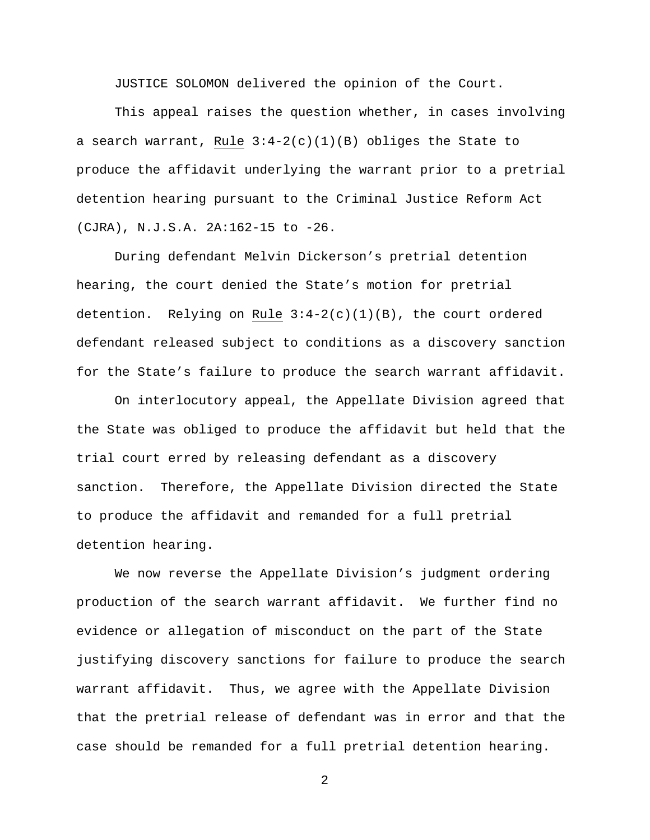JUSTICE SOLOMON delivered the opinion of the Court.

This appeal raises the question whether, in cases involving a search warrant, Rule  $3:4-2(c)(1)(B)$  obliges the State to produce the affidavit underlying the warrant prior to a pretrial detention hearing pursuant to the Criminal Justice Reform Act (CJRA), N.J.S.A. 2A:162-15 to -26.

During defendant Melvin Dickerson's pretrial detention hearing, the court denied the State's motion for pretrial detention. Relying on Rule 3:4-2(c)(1)(B), the court ordered defendant released subject to conditions as a discovery sanction for the State's failure to produce the search warrant affidavit.

On interlocutory appeal, the Appellate Division agreed that the State was obliged to produce the affidavit but held that the trial court erred by releasing defendant as a discovery sanction. Therefore, the Appellate Division directed the State to produce the affidavit and remanded for a full pretrial detention hearing.

We now reverse the Appellate Division's judgment ordering production of the search warrant affidavit. We further find no evidence or allegation of misconduct on the part of the State justifying discovery sanctions for failure to produce the search warrant affidavit. Thus, we agree with the Appellate Division that the pretrial release of defendant was in error and that the case should be remanded for a full pretrial detention hearing.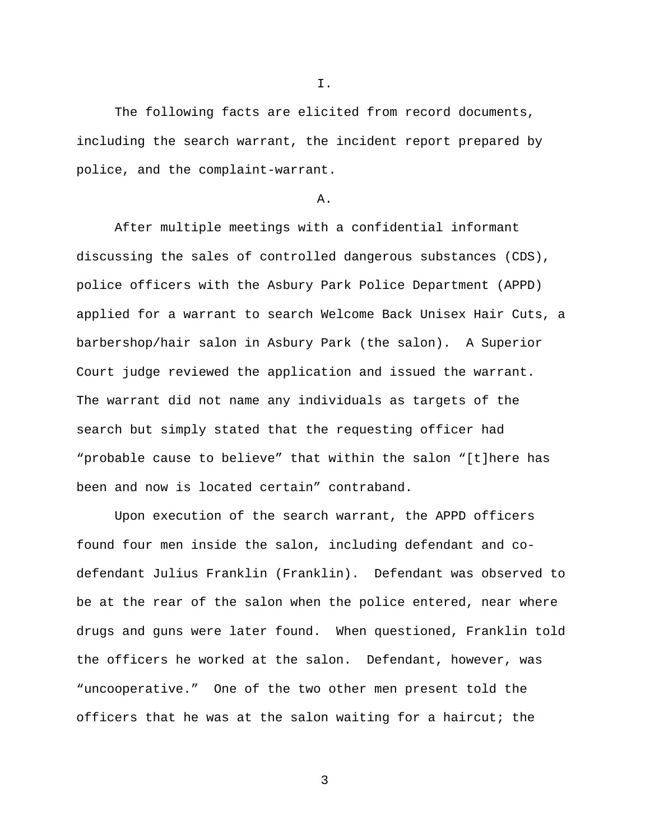I.

The following facts are elicited from record documents, including the search warrant, the incident report prepared by police, and the complaint-warrant.

A.

After multiple meetings with a confidential informant discussing the sales of controlled dangerous substances (CDS), police officers with the Asbury Park Police Department (APPD) applied for a warrant to search Welcome Back Unisex Hair Cuts, a barbershop/hair salon in Asbury Park (the salon). A Superior Court judge reviewed the application and issued the warrant. The warrant did not name any individuals as targets of the search but simply stated that the requesting officer had "probable cause to believe" that within the salon "[t]here has been and now is located certain" contraband.

Upon execution of the search warrant, the APPD officers found four men inside the salon, including defendant and codefendant Julius Franklin (Franklin). Defendant was observed to be at the rear of the salon when the police entered, near where drugs and guns were later found. When questioned, Franklin told the officers he worked at the salon. Defendant, however, was "uncooperative." One of the two other men present told the officers that he was at the salon waiting for a haircut; the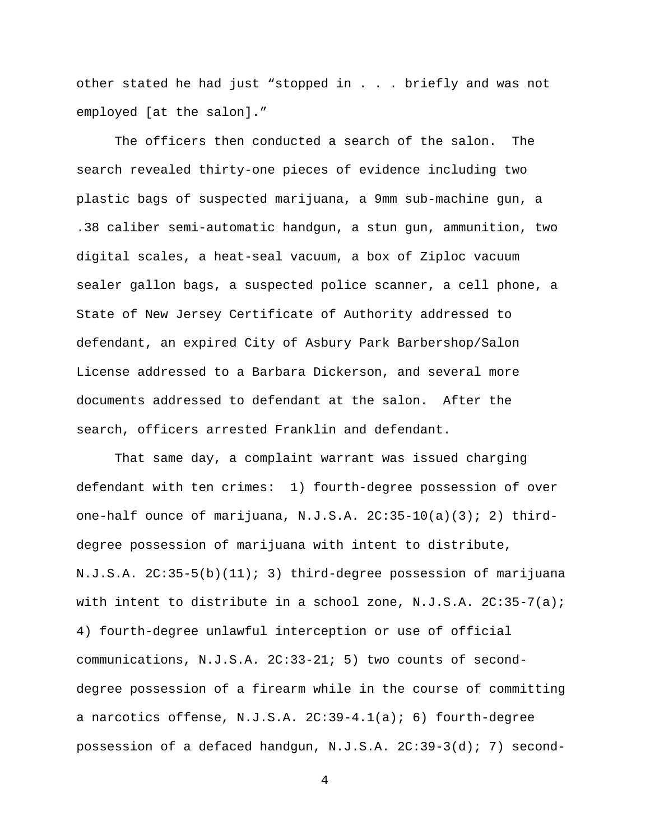other stated he had just "stopped in . . . briefly and was not employed [at the salon]."

The officers then conducted a search of the salon. The search revealed thirty-one pieces of evidence including two plastic bags of suspected marijuana, a 9mm sub-machine gun, a .38 caliber semi-automatic handgun, a stun gun, ammunition, two digital scales, a heat-seal vacuum, a box of Ziploc vacuum sealer gallon bags, a suspected police scanner, a cell phone, a State of New Jersey Certificate of Authority addressed to defendant, an expired City of Asbury Park Barbershop/Salon License addressed to a Barbara Dickerson, and several more documents addressed to defendant at the salon. After the search, officers arrested Franklin and defendant.

That same day, a complaint warrant was issued charging defendant with ten crimes: 1) fourth-degree possession of over one-half ounce of marijuana, N.J.S.A. 2C:35-10(a)(3); 2) thirddegree possession of marijuana with intent to distribute, N.J.S.A. 2C:35-5(b)(11); 3) third-degree possession of marijuana with intent to distribute in a school zone, N.J.S.A. 2C:35-7(a); 4) fourth-degree unlawful interception or use of official communications, N.J.S.A. 2C:33-21; 5) two counts of seconddegree possession of a firearm while in the course of committing a narcotics offense, N.J.S.A.  $2C:39-4.1(a)$ ; 6) fourth-degree possession of a defaced handgun, N.J.S.A. 2C:39-3(d); 7) second-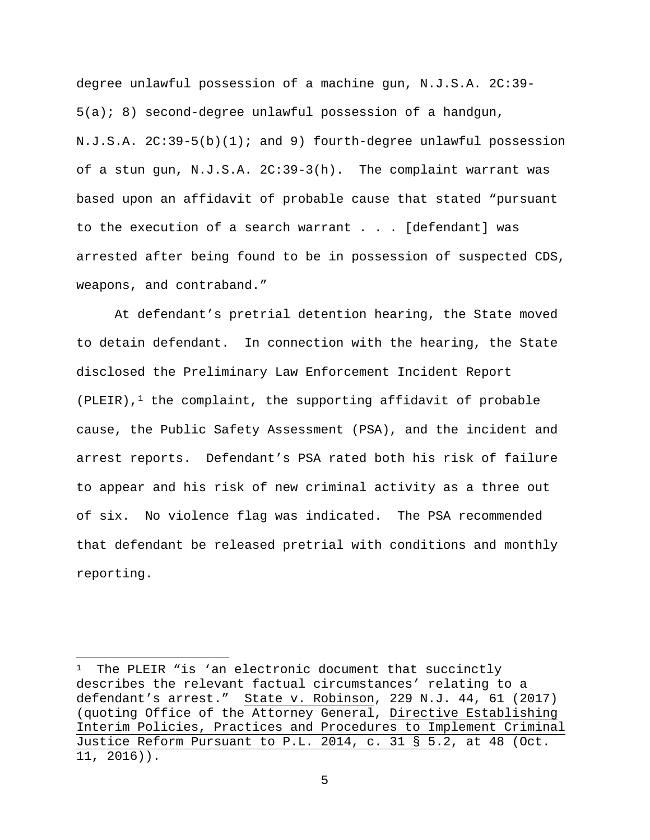degree unlawful possession of a machine gun, N.J.S.A. 2C:39-  $5(a); 8$ ) second-degree unlawful possession of a handgun, N.J.S.A. 2C:39-5(b)(1); and 9) fourth-degree unlawful possession of a stun gun, N.J.S.A. 2C:39-3(h). The complaint warrant was based upon an affidavit of probable cause that stated "pursuant to the execution of a search warrant . . . [defendant] was arrested after being found to be in possession of suspected CDS, weapons, and contraband."

At defendant's pretrial detention hearing, the State moved to detain defendant. In connection with the hearing, the State disclosed the Preliminary Law Enforcement Incident Report (PLEIR), $1$  the complaint, the supporting affidavit of probable cause, the Public Safety Assessment (PSA), and the incident and arrest reports. Defendant's PSA rated both his risk of failure to appear and his risk of new criminal activity as a three out of six. No violence flag was indicated. The PSA recommended that defendant be released pretrial with conditions and monthly reporting.

l

The PLEIR "is 'an electronic document that succinctly describes the relevant factual circumstances' relating to a defendant's arrest." State v. Robinson, 229 N.J. 44, 61 (2017) (quoting Office of the Attorney General, Directive Establishing Interim Policies, Practices and Procedures to Implement Criminal Justice Reform Pursuant to P.L. 2014, c. 31 § 5.2, at 48 (Oct. 11, 2016)).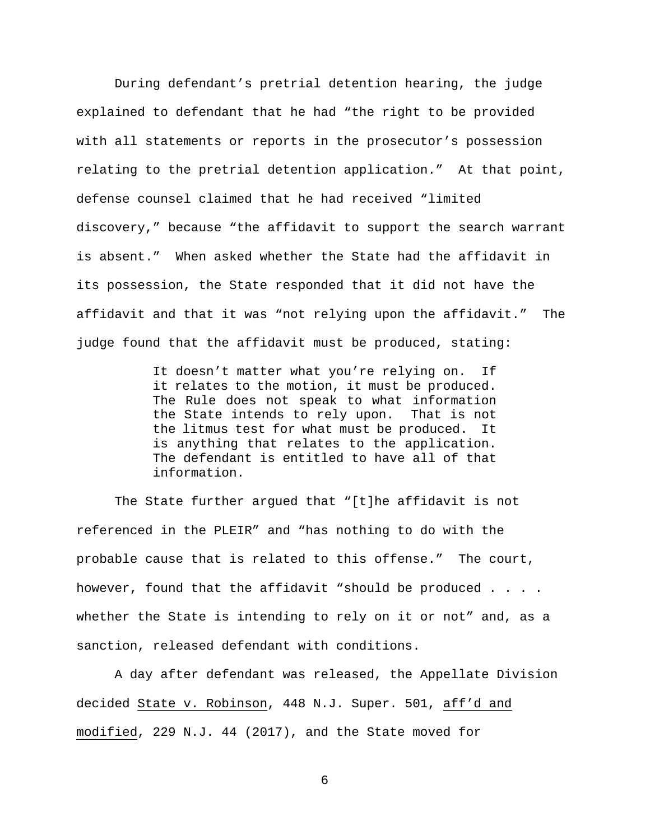During defendant's pretrial detention hearing, the judge explained to defendant that he had "the right to be provided with all statements or reports in the prosecutor's possession relating to the pretrial detention application." At that point, defense counsel claimed that he had received "limited discovery," because "the affidavit to support the search warrant is absent." When asked whether the State had the affidavit in its possession, the State responded that it did not have the affidavit and that it was "not relying upon the affidavit." The judge found that the affidavit must be produced, stating:

> It doesn't matter what you're relying on. If it relates to the motion, it must be produced. The Rule does not speak to what information the State intends to rely upon. That is not the litmus test for what must be produced. It is anything that relates to the application. The defendant is entitled to have all of that information.

The State further argued that "[t]he affidavit is not referenced in the PLEIR" and "has nothing to do with the probable cause that is related to this offense." The court, however, found that the affidavit "should be produced . . . . whether the State is intending to rely on it or not" and, as a sanction, released defendant with conditions.

A day after defendant was released, the Appellate Division decided State v. Robinson, 448 N.J. Super. 501, aff'd and modified, 229 N.J. 44 (2017), and the State moved for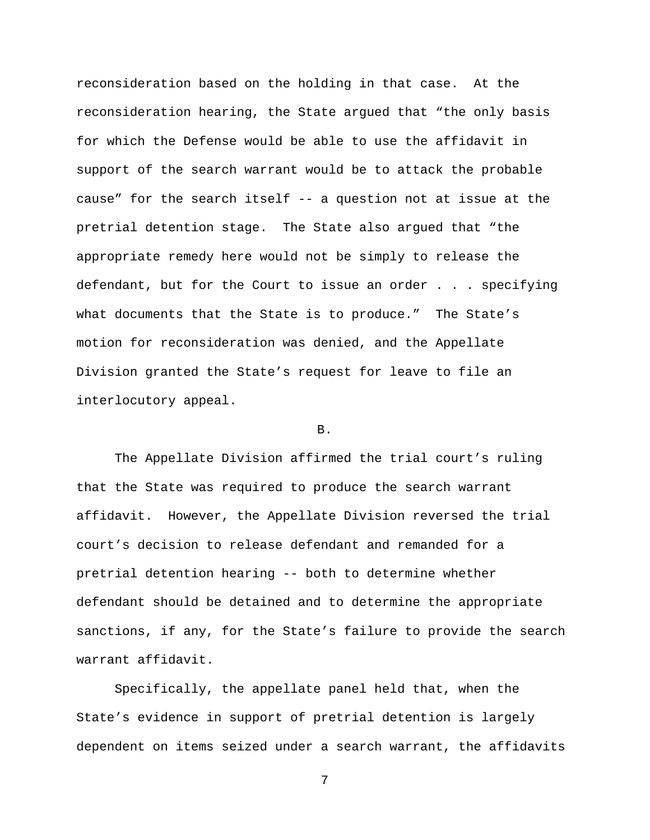reconsideration based on the holding in that case. At the reconsideration hearing, the State argued that "the only basis for which the Defense would be able to use the affidavit in support of the search warrant would be to attack the probable cause" for the search itself -- a question not at issue at the pretrial detention stage. The State also argued that "the appropriate remedy here would not be simply to release the defendant, but for the Court to issue an order . . . specifying what documents that the State is to produce." The State's motion for reconsideration was denied, and the Appellate Division granted the State's request for leave to file an interlocutory appeal.

## B.

The Appellate Division affirmed the trial court's ruling that the State was required to produce the search warrant affidavit. However, the Appellate Division reversed the trial court's decision to release defendant and remanded for a pretrial detention hearing -- both to determine whether defendant should be detained and to determine the appropriate sanctions, if any, for the State's failure to provide the search warrant affidavit.

Specifically, the appellate panel held that, when the State's evidence in support of pretrial detention is largely dependent on items seized under a search warrant, the affidavits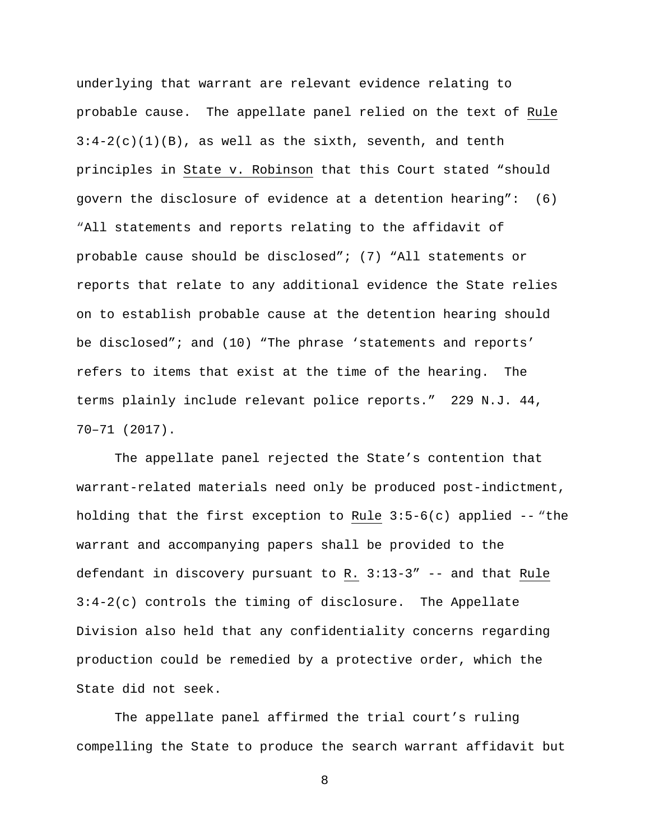underlying that warrant are relevant evidence relating to probable cause. The appellate panel relied on the text of Rule  $3:4-2(c)(1)(B)$ , as well as the sixth, seventh, and tenth principles in State v. Robinson that this Court stated "should govern the disclosure of evidence at a detention hearing": (6) "All statements and reports relating to the affidavit of probable cause should be disclosed"; (7) "All statements or reports that relate to any additional evidence the State relies on to establish probable cause at the detention hearing should be disclosed"; and (10) "The phrase 'statements and reports' refers to items that exist at the time of the hearing. The terms plainly include relevant police reports." 229 N.J. 44, 70–71 (2017).

The appellate panel rejected the State's contention that warrant-related materials need only be produced post-indictment, holding that the first exception to Rule  $3:5-6(c)$  applied  $-$  "the warrant and accompanying papers shall be provided to the defendant in discovery pursuant to R. 3:13-3" -- and that Rule 3:4-2(c) controls the timing of disclosure. The Appellate Division also held that any confidentiality concerns regarding production could be remedied by a protective order, which the State did not seek.

The appellate panel affirmed the trial court's ruling compelling the State to produce the search warrant affidavit but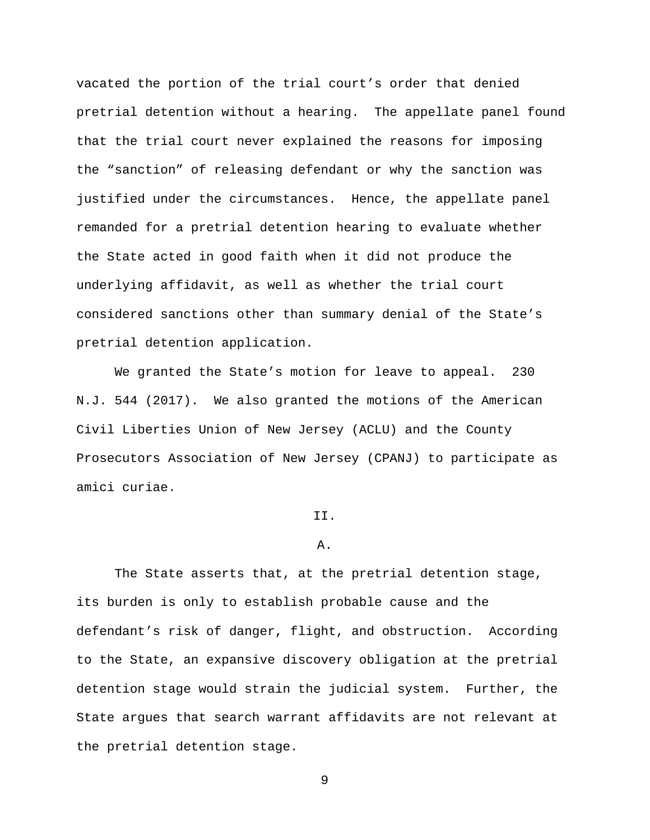vacated the portion of the trial court's order that denied pretrial detention without a hearing. The appellate panel found that the trial court never explained the reasons for imposing the "sanction" of releasing defendant or why the sanction was justified under the circumstances. Hence, the appellate panel remanded for a pretrial detention hearing to evaluate whether the State acted in good faith when it did not produce the underlying affidavit, as well as whether the trial court considered sanctions other than summary denial of the State's pretrial detention application.

We granted the State's motion for leave to appeal. 230 N.J. 544 (2017). We also granted the motions of the American Civil Liberties Union of New Jersey (ACLU) and the County Prosecutors Association of New Jersey (CPANJ) to participate as amici curiae.

# II.

## A.

The State asserts that, at the pretrial detention stage, its burden is only to establish probable cause and the defendant's risk of danger, flight, and obstruction. According to the State, an expansive discovery obligation at the pretrial detention stage would strain the judicial system. Further, the State argues that search warrant affidavits are not relevant at the pretrial detention stage.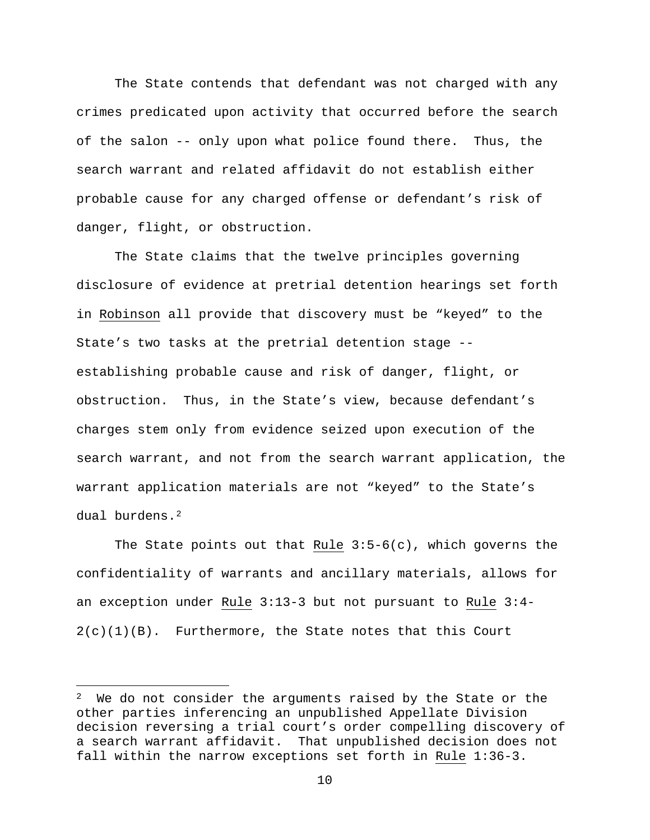The State contends that defendant was not charged with any crimes predicated upon activity that occurred before the search of the salon -- only upon what police found there. Thus, the search warrant and related affidavit do not establish either probable cause for any charged offense or defendant's risk of danger, flight, or obstruction.

The State claims that the twelve principles governing disclosure of evidence at pretrial detention hearings set forth in Robinson all provide that discovery must be "keyed" to the State's two tasks at the pretrial detention stage - establishing probable cause and risk of danger, flight, or obstruction. Thus, in the State's view, because defendant's charges stem only from evidence seized upon execution of the search warrant, and not from the search warrant application, the warrant application materials are not "keyed" to the State's dual burdens.2

The State points out that Rule  $3:5-6(c)$ , which governs the confidentiality of warrants and ancillary materials, allows for an exception under Rule 3:13-3 but not pursuant to Rule 3:4-  $2(c)(1)(B)$ . Furthermore, the State notes that this Court

 $\overline{\phantom{a}}$ 

 $2$  We do not consider the arguments raised by the State or the other parties inferencing an unpublished Appellate Division decision reversing a trial court's order compelling discovery of a search warrant affidavit. That unpublished decision does not fall within the narrow exceptions set forth in Rule 1:36-3.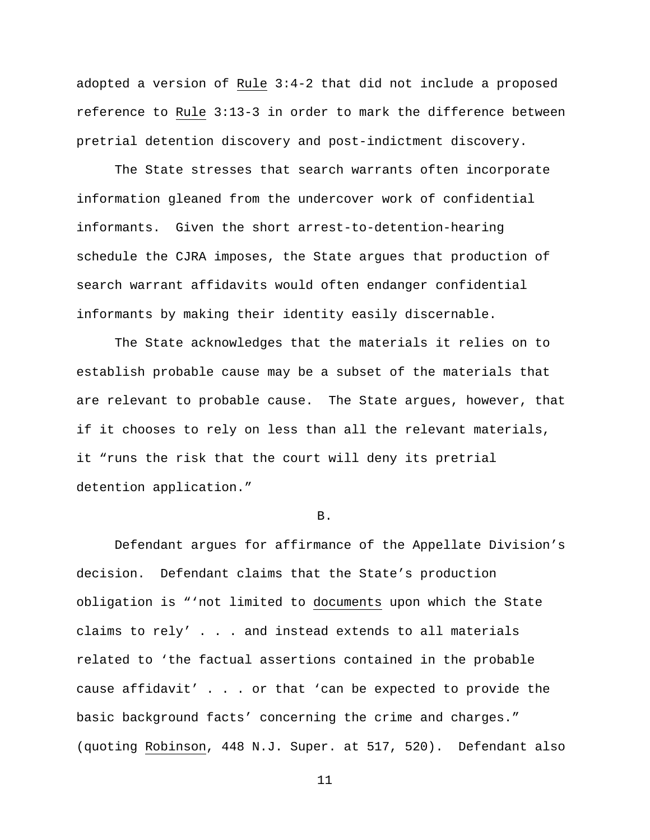adopted a version of Rule 3:4-2 that did not include a proposed reference to Rule 3:13-3 in order to mark the difference between pretrial detention discovery and post-indictment discovery.

The State stresses that search warrants often incorporate information gleaned from the undercover work of confidential informants. Given the short arrest-to-detention-hearing schedule the CJRA imposes, the State argues that production of search warrant affidavits would often endanger confidential informants by making their identity easily discernable.

The State acknowledges that the materials it relies on to establish probable cause may be a subset of the materials that are relevant to probable cause. The State argues, however, that if it chooses to rely on less than all the relevant materials, it "runs the risk that the court will deny its pretrial detention application."

#### B.

Defendant argues for affirmance of the Appellate Division's decision. Defendant claims that the State's production obligation is "'not limited to documents upon which the State claims to rely' . . . and instead extends to all materials related to 'the factual assertions contained in the probable cause affidavit' . . . or that 'can be expected to provide the basic background facts' concerning the crime and charges." (quoting Robinson, 448 N.J. Super. at 517, 520). Defendant also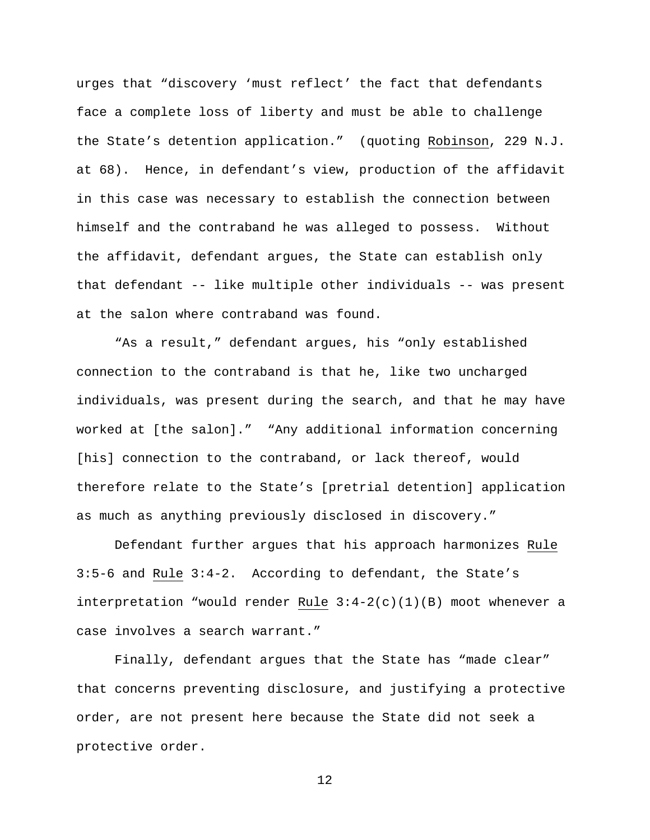urges that "discovery 'must reflect' the fact that defendants face a complete loss of liberty and must be able to challenge the State's detention application." (quoting Robinson, 229 N.J. at 68). Hence, in defendant's view, production of the affidavit in this case was necessary to establish the connection between himself and the contraband he was alleged to possess. Without the affidavit, defendant argues, the State can establish only that defendant -- like multiple other individuals -- was present at the salon where contraband was found.

"As a result," defendant argues, his "only established connection to the contraband is that he, like two uncharged individuals, was present during the search, and that he may have worked at [the salon]." "Any additional information concerning [his] connection to the contraband, or lack thereof, would therefore relate to the State's [pretrial detention] application as much as anything previously disclosed in discovery."

Defendant further argues that his approach harmonizes Rule 3:5-6 and Rule 3:4-2. According to defendant, the State's interpretation "would render Rule 3:4-2(c)(1)(B) moot whenever a case involves a search warrant."

Finally, defendant argues that the State has "made clear" that concerns preventing disclosure, and justifying a protective order, are not present here because the State did not seek a protective order.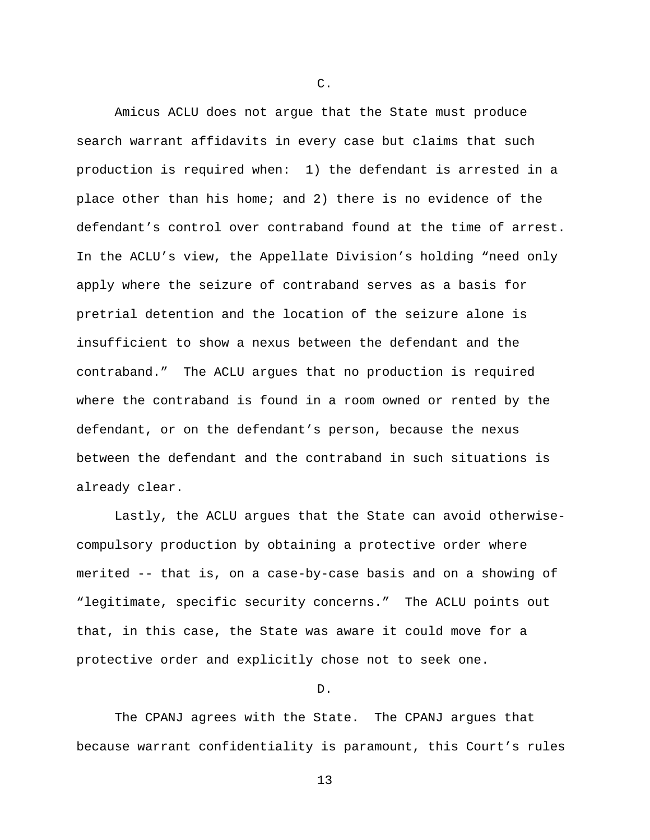Amicus ACLU does not argue that the State must produce search warrant affidavits in every case but claims that such production is required when: 1) the defendant is arrested in a place other than his home; and 2) there is no evidence of the defendant's control over contraband found at the time of arrest. In the ACLU's view, the Appellate Division's holding "need only apply where the seizure of contraband serves as a basis for pretrial detention and the location of the seizure alone is insufficient to show a nexus between the defendant and the contraband." The ACLU argues that no production is required where the contraband is found in a room owned or rented by the defendant, or on the defendant's person, because the nexus between the defendant and the contraband in such situations is already clear.

Lastly, the ACLU argues that the State can avoid otherwisecompulsory production by obtaining a protective order where merited -- that is, on a case-by-case basis and on a showing of "legitimate, specific security concerns." The ACLU points out that, in this case, the State was aware it could move for a protective order and explicitly chose not to seek one.

D.

The CPANJ agrees with the State. The CPANJ argues that because warrant confidentiality is paramount, this Court's rules

C.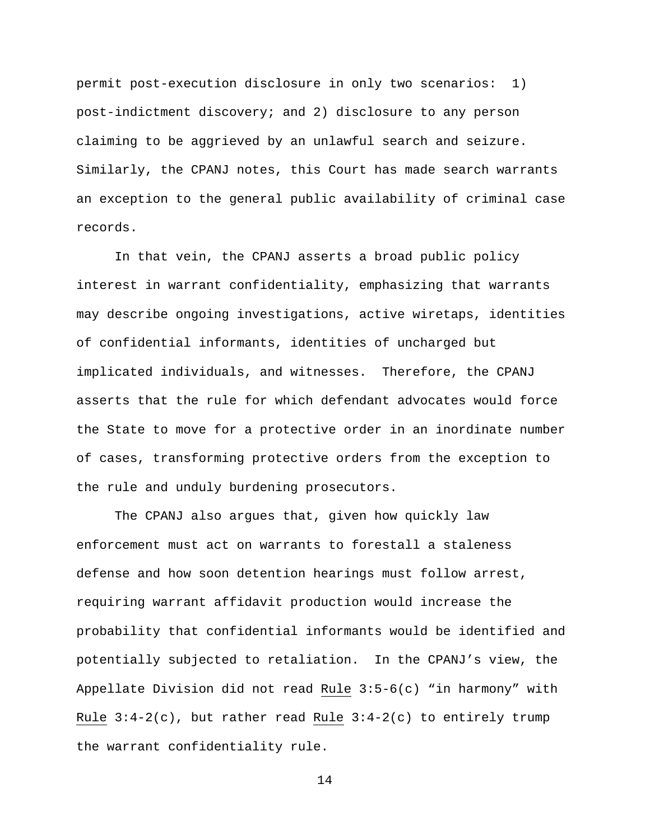permit post-execution disclosure in only two scenarios: 1) post-indictment discovery; and 2) disclosure to any person claiming to be aggrieved by an unlawful search and seizure. Similarly, the CPANJ notes, this Court has made search warrants an exception to the general public availability of criminal case records.

In that vein, the CPANJ asserts a broad public policy interest in warrant confidentiality, emphasizing that warrants may describe ongoing investigations, active wiretaps, identities of confidential informants, identities of uncharged but implicated individuals, and witnesses. Therefore, the CPANJ asserts that the rule for which defendant advocates would force the State to move for a protective order in an inordinate number of cases, transforming protective orders from the exception to the rule and unduly burdening prosecutors.

The CPANJ also argues that, given how quickly law enforcement must act on warrants to forestall a staleness defense and how soon detention hearings must follow arrest, requiring warrant affidavit production would increase the probability that confidential informants would be identified and potentially subjected to retaliation. In the CPANJ's view, the Appellate Division did not read Rule 3:5-6(c) "in harmony" with Rule  $3:4-2(c)$ , but rather read Rule  $3:4-2(c)$  to entirely trump the warrant confidentiality rule.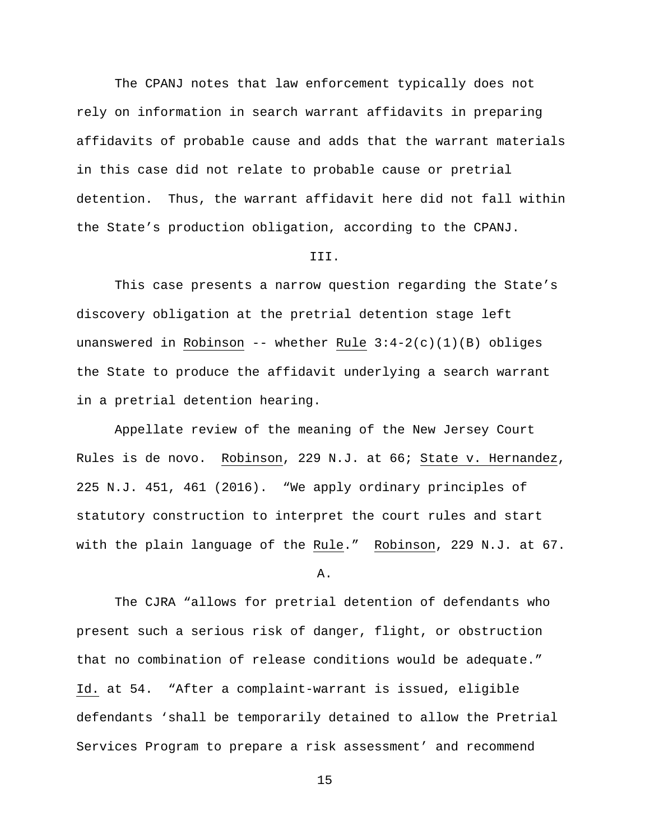The CPANJ notes that law enforcement typically does not rely on information in search warrant affidavits in preparing affidavits of probable cause and adds that the warrant materials in this case did not relate to probable cause or pretrial detention. Thus, the warrant affidavit here did not fall within the State's production obligation, according to the CPANJ.

## III.

This case presents a narrow question regarding the State's discovery obligation at the pretrial detention stage left unanswered in Robinson -- whether Rule  $3:4-2(c)(1)(B)$  obliges the State to produce the affidavit underlying a search warrant in a pretrial detention hearing.

Appellate review of the meaning of the New Jersey Court Rules is de novo. Robinson, 229 N.J. at 66; State v. Hernandez, 225 N.J. 451, 461 (2016). "We apply ordinary principles of statutory construction to interpret the court rules and start with the plain language of the Rule." Robinson, 229 N.J. at 67.

A.

The CJRA "allows for pretrial detention of defendants who present such a serious risk of danger, flight, or obstruction that no combination of release conditions would be adequate." Id. at 54. "After a complaint-warrant is issued, eligible defendants 'shall be temporarily detained to allow the Pretrial Services Program to prepare a risk assessment' and recommend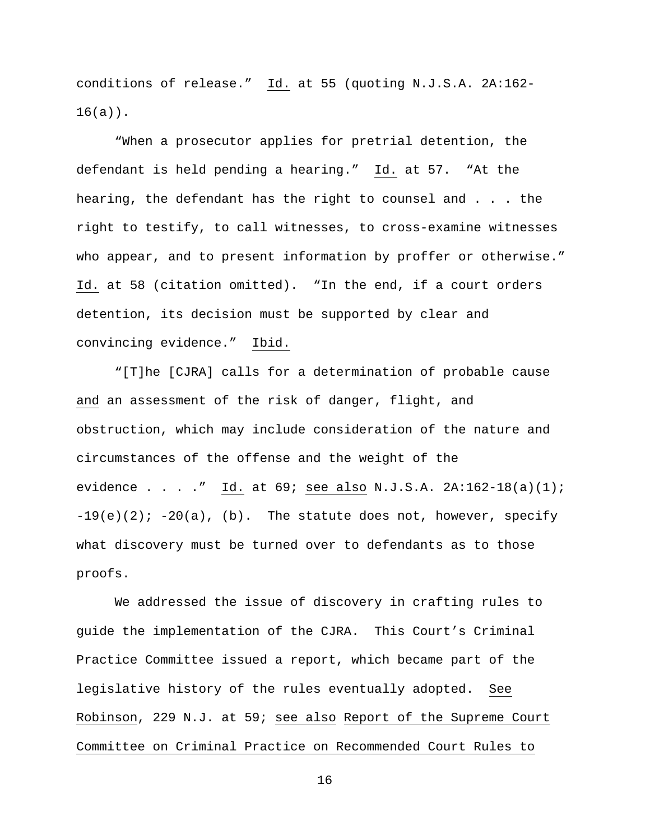conditions of release." Id. at 55 (quoting N.J.S.A. 2A:162- $16(a)$ .

"When a prosecutor applies for pretrial detention, the defendant is held pending a hearing." Id. at 57. "At the hearing, the defendant has the right to counsel and . . . the right to testify, to call witnesses, to cross-examine witnesses who appear, and to present information by proffer or otherwise." Id. at 58 (citation omitted). "In the end, if a court orders detention, its decision must be supported by clear and convincing evidence." Ibid.

"[T]he [CJRA] calls for a determination of probable cause and an assessment of the risk of danger, flight, and obstruction, which may include consideration of the nature and circumstances of the offense and the weight of the evidence . . . ." Id. at  $69$ ; see also N.J.S.A. 2A:162-18(a)(1);  $-19(e)(2)$ ;  $-20(a)$ , (b). The statute does not, however, specify what discovery must be turned over to defendants as to those proofs.

We addressed the issue of discovery in crafting rules to guide the implementation of the CJRA. This Court's Criminal Practice Committee issued a report, which became part of the legislative history of the rules eventually adopted. See Robinson, 229 N.J. at 59; see also Report of the Supreme Court Committee on Criminal Practice on Recommended Court Rules to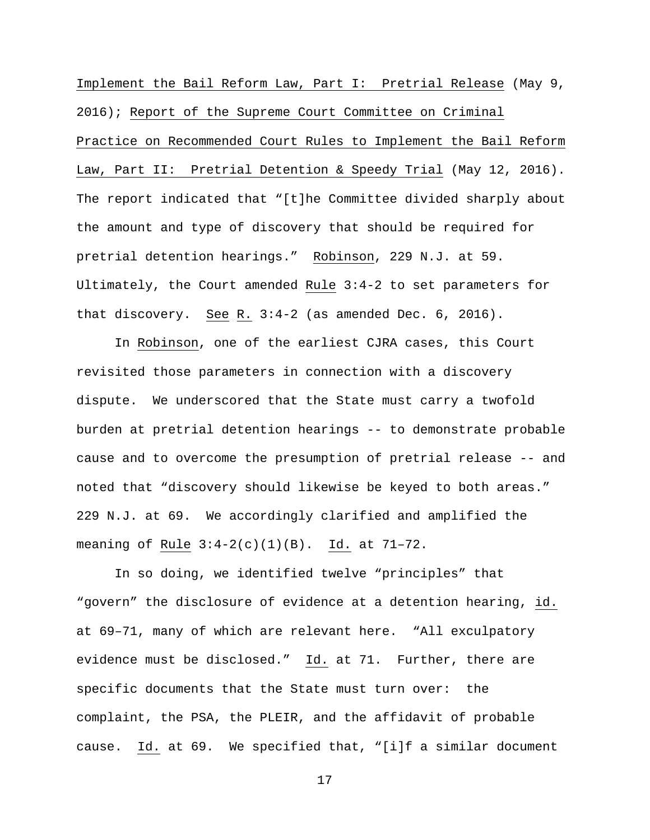Implement the Bail Reform Law, Part I: Pretrial Release (May 9, 2016); Report of the Supreme Court Committee on Criminal Practice on Recommended Court Rules to Implement the Bail Reform Law, Part II: Pretrial Detention & Speedy Trial (May 12, 2016). The report indicated that "[t]he Committee divided sharply about the amount and type of discovery that should be required for pretrial detention hearings." Robinson, 229 N.J. at 59. Ultimately, the Court amended Rule 3:4-2 to set parameters for that discovery. See R. 3:4-2 (as amended Dec. 6, 2016).

In Robinson, one of the earliest CJRA cases, this Court revisited those parameters in connection with a discovery dispute. We underscored that the State must carry a twofold burden at pretrial detention hearings -- to demonstrate probable cause and to overcome the presumption of pretrial release -- and noted that "discovery should likewise be keyed to both areas." 229 N.J. at 69. We accordingly clarified and amplified the meaning of Rule 3:4-2(c)(1)(B). Id. at 71–72.

In so doing, we identified twelve "principles" that "govern" the disclosure of evidence at a detention hearing, id. at 69–71, many of which are relevant here. "All exculpatory evidence must be disclosed." Id. at 71. Further, there are specific documents that the State must turn over: the complaint, the PSA, the PLEIR, and the affidavit of probable cause. Id. at 69. We specified that, "[i]f a similar document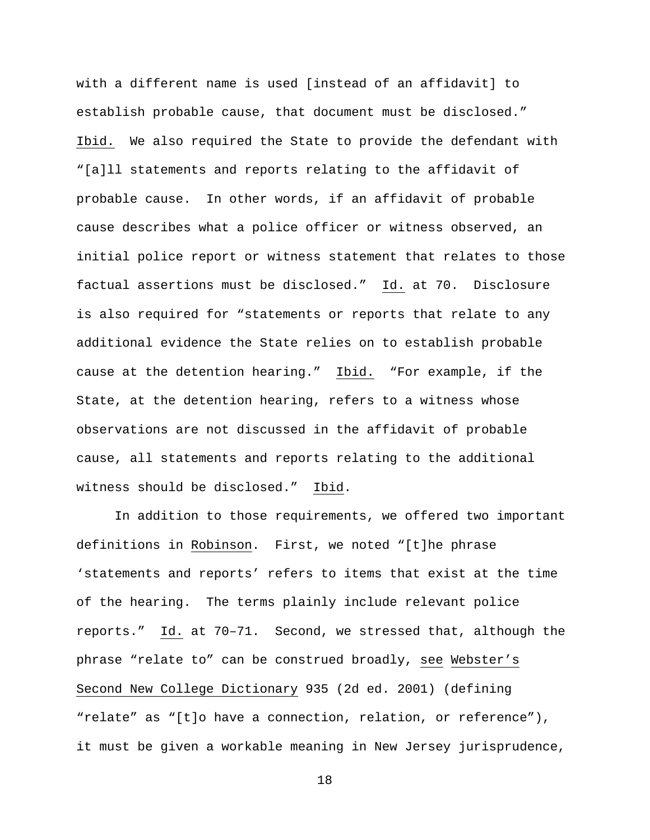with a different name is used [instead of an affidavit] to establish probable cause, that document must be disclosed." Ibid. We also required the State to provide the defendant with "[a]ll statements and reports relating to the affidavit of probable cause. In other words, if an affidavit of probable cause describes what a police officer or witness observed, an initial police report or witness statement that relates to those factual assertions must be disclosed." Id. at 70. Disclosure is also required for "statements or reports that relate to any additional evidence the State relies on to establish probable cause at the detention hearing." Ibid. "For example, if the State, at the detention hearing, refers to a witness whose observations are not discussed in the affidavit of probable cause, all statements and reports relating to the additional witness should be disclosed." Ibid.

In addition to those requirements, we offered two important definitions in Robinson. First, we noted "[t]he phrase 'statements and reports' refers to items that exist at the time of the hearing. The terms plainly include relevant police reports." Id. at 70–71. Second, we stressed that, although the phrase "relate to" can be construed broadly, see Webster's Second New College Dictionary 935 (2d ed. 2001) (defining "relate" as "[t]o have a connection, relation, or reference"), it must be given a workable meaning in New Jersey jurisprudence,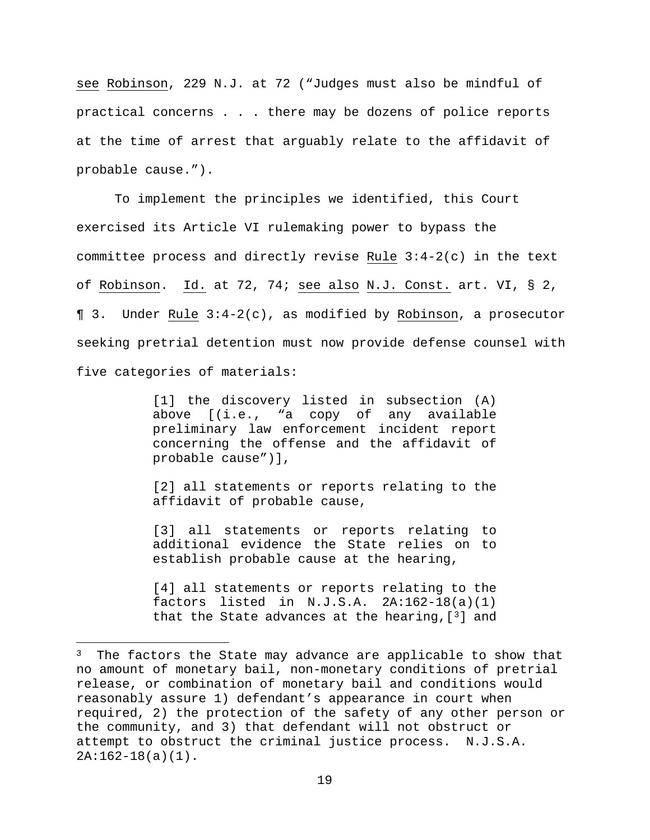see Robinson, 229 N.J. at 72 ("Judges must also be mindful of practical concerns . . . there may be dozens of police reports at the time of arrest that arguably relate to the affidavit of probable cause.").

To implement the principles we identified, this Court exercised its Article VI rulemaking power to bypass the committee process and directly revise Rule 3:4-2(c) in the text of Robinson. Id. at 72, 74; see also N.J. Const. art. VI, § 2, ¶ 3. Under Rule 3:4-2(c), as modified by Robinson, a prosecutor seeking pretrial detention must now provide defense counsel with five categories of materials:

> [1] the discovery listed in subsection (A) above [(i.e., "a copy of any available preliminary law enforcement incident report concerning the offense and the affidavit of probable cause")],

> [2] all statements or reports relating to the affidavit of probable cause,

> [3] all statements or reports relating to additional evidence the State relies on to establish probable cause at the hearing,

> [4] all statements or reports relating to the factors listed in  $N.J.S.A.$   $2A:162-18(a)(1)$ that the State advances at the hearing,  $[3]$  and

 $\overline{a}$ 

 $3$  The factors the State may advance are applicable to show that no amount of monetary bail, non-monetary conditions of pretrial release, or combination of monetary bail and conditions would reasonably assure 1) defendant's appearance in court when required, 2) the protection of the safety of any other person or the community, and 3) that defendant will not obstruct or attempt to obstruct the criminal justice process. N.J.S.A. 2A:162-18(a)(1).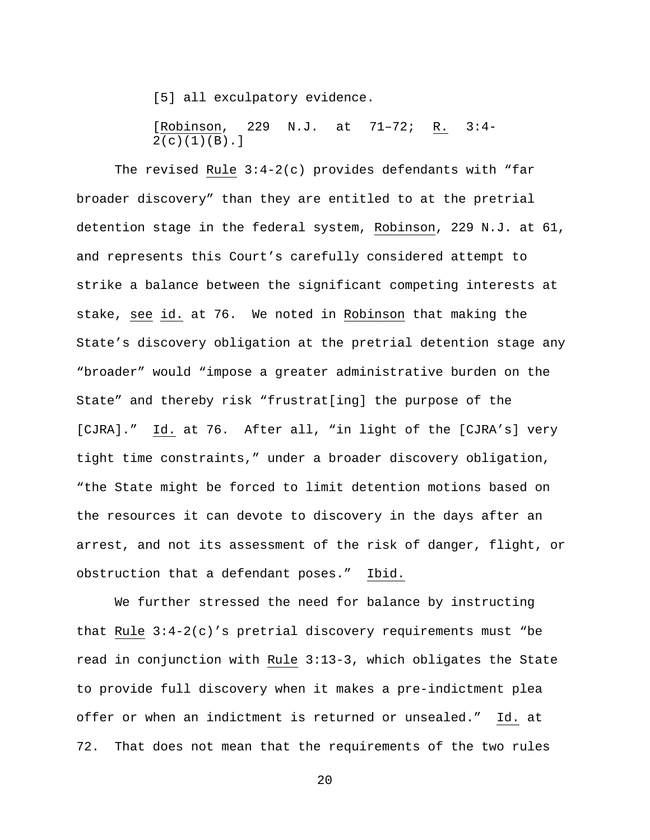[5] all exculpatory evidence.

[Robinson, 229 N.J. at 71–72; R. 3:4-  $2(c)(1)(B).$ 

The revised Rule  $3:4-2(c)$  provides defendants with "far broader discovery" than they are entitled to at the pretrial detention stage in the federal system, Robinson, 229 N.J. at 61, and represents this Court's carefully considered attempt to strike a balance between the significant competing interests at stake, see id. at 76. We noted in Robinson that making the State's discovery obligation at the pretrial detention stage any "broader" would "impose a greater administrative burden on the State" and thereby risk "frustrat[ing] the purpose of the [CJRA]." Id. at 76. After all, "in light of the [CJRA's] very tight time constraints," under a broader discovery obligation, "the State might be forced to limit detention motions based on the resources it can devote to discovery in the days after an arrest, and not its assessment of the risk of danger, flight, or obstruction that a defendant poses." Ibid.

We further stressed the need for balance by instructing that Rule  $3:4-2(c)$ 's pretrial discovery requirements must "be read in conjunction with Rule 3:13-3, which obligates the State to provide full discovery when it makes a pre-indictment plea offer or when an indictment is returned or unsealed." Id. at 72. That does not mean that the requirements of the two rules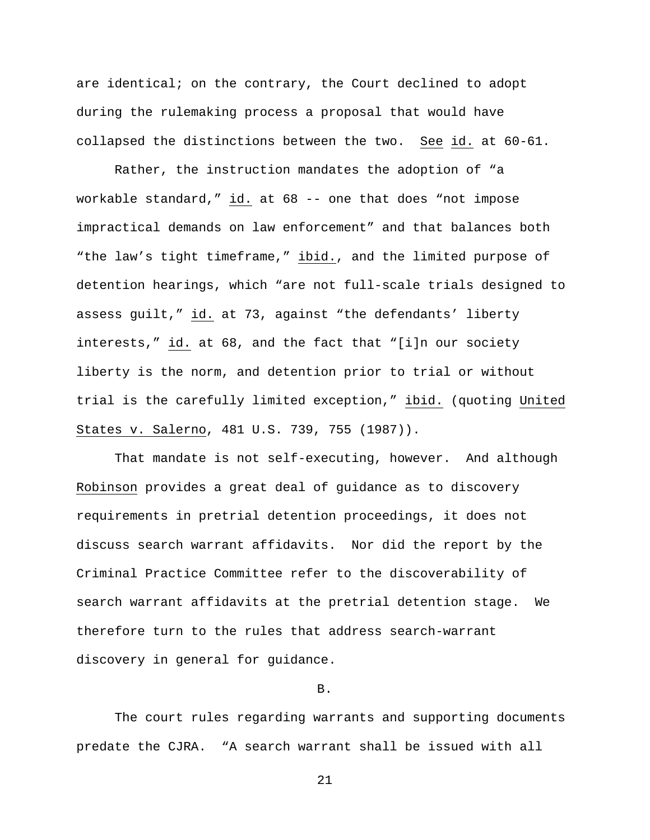are identical; on the contrary, the Court declined to adopt during the rulemaking process a proposal that would have collapsed the distinctions between the two. See id. at 60-61.

Rather, the instruction mandates the adoption of "a workable standard," id. at 68 -- one that does "not impose impractical demands on law enforcement" and that balances both "the law's tight timeframe," ibid., and the limited purpose of detention hearings, which "are not full-scale trials designed to assess guilt," id. at 73, against "the defendants' liberty interests," id. at 68, and the fact that "[i]n our society liberty is the norm, and detention prior to trial or without trial is the carefully limited exception," ibid. (quoting United States v. Salerno, 481 U.S. 739, 755 (1987)).

That mandate is not self-executing, however. And although Robinson provides a great deal of guidance as to discovery requirements in pretrial detention proceedings, it does not discuss search warrant affidavits. Nor did the report by the Criminal Practice Committee refer to the discoverability of search warrant affidavits at the pretrial detention stage. We therefore turn to the rules that address search-warrant discovery in general for guidance.

B.

The court rules regarding warrants and supporting documents predate the CJRA. "A search warrant shall be issued with all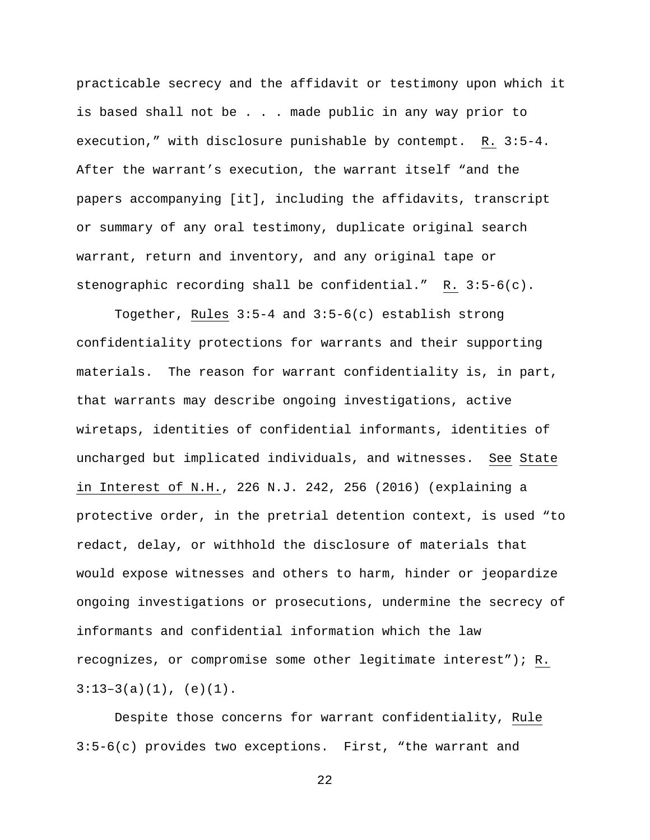practicable secrecy and the affidavit or testimony upon which it is based shall not be . . . made public in any way prior to execution," with disclosure punishable by contempt. R. 3:5-4. After the warrant's execution, the warrant itself "and the papers accompanying [it], including the affidavits, transcript or summary of any oral testimony, duplicate original search warrant, return and inventory, and any original tape or stenographic recording shall be confidential." R. 3:5-6(c).

Together, Rules 3:5-4 and 3:5-6(c) establish strong confidentiality protections for warrants and their supporting materials. The reason for warrant confidentiality is, in part, that warrants may describe ongoing investigations, active wiretaps, identities of confidential informants, identities of uncharged but implicated individuals, and witnesses. See State in Interest of N.H., 226 N.J. 242, 256 (2016) (explaining a protective order, in the pretrial detention context, is used "to redact, delay, or withhold the disclosure of materials that would expose witnesses and others to harm, hinder or jeopardize ongoing investigations or prosecutions, undermine the secrecy of informants and confidential information which the law recognizes, or compromise some other legitimate interest"); R.  $3:13-3(a)(1)$ , (e)(1).

Despite those concerns for warrant confidentiality, Rule 3:5-6(c) provides two exceptions. First, "the warrant and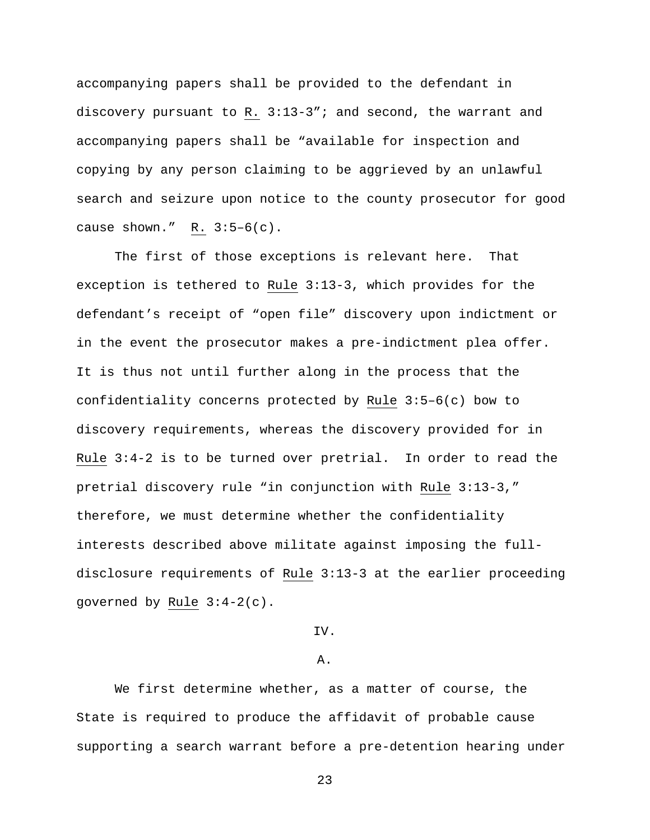accompanying papers shall be provided to the defendant in discovery pursuant to R. 3:13-3"; and second, the warrant and accompanying papers shall be "available for inspection and copying by any person claiming to be aggrieved by an unlawful search and seizure upon notice to the county prosecutor for good cause shown."  $R. 3:5-6(c)$ .

The first of those exceptions is relevant here. That exception is tethered to Rule 3:13-3, which provides for the defendant's receipt of "open file" discovery upon indictment or in the event the prosecutor makes a pre-indictment plea offer. It is thus not until further along in the process that the confidentiality concerns protected by Rule 3:5–6(c) bow to discovery requirements, whereas the discovery provided for in Rule 3:4-2 is to be turned over pretrial. In order to read the pretrial discovery rule "in conjunction with Rule 3:13-3," therefore, we must determine whether the confidentiality interests described above militate against imposing the fulldisclosure requirements of Rule 3:13-3 at the earlier proceeding governed by Rule 3:4-2(c).

# IV.

#### A.

We first determine whether, as a matter of course, the State is required to produce the affidavit of probable cause supporting a search warrant before a pre-detention hearing under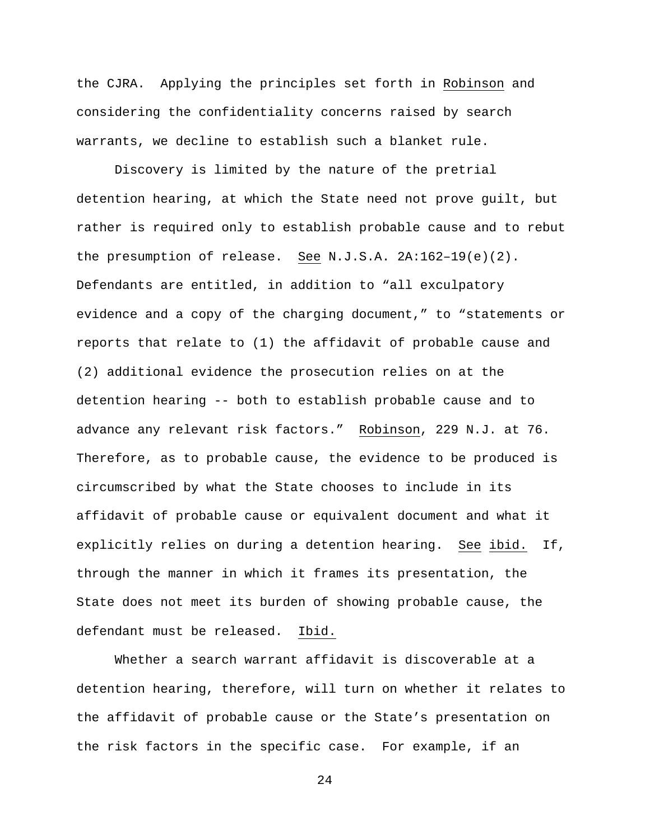the CJRA. Applying the principles set forth in Robinson and considering the confidentiality concerns raised by search warrants, we decline to establish such a blanket rule.

Discovery is limited by the nature of the pretrial detention hearing, at which the State need not prove guilt, but rather is required only to establish probable cause and to rebut the presumption of release. See N.J.S.A. 2A:162–19(e)(2). Defendants are entitled, in addition to "all exculpatory evidence and a copy of the charging document," to "statements or reports that relate to (1) the affidavit of probable cause and (2) additional evidence the prosecution relies on at the detention hearing -- both to establish probable cause and to advance any relevant risk factors." Robinson, 229 N.J. at 76. Therefore, as to probable cause, the evidence to be produced is circumscribed by what the State chooses to include in its affidavit of probable cause or equivalent document and what it explicitly relies on during a detention hearing. See ibid. If, through the manner in which it frames its presentation, the State does not meet its burden of showing probable cause, the defendant must be released. Ibid.

Whether a search warrant affidavit is discoverable at a detention hearing, therefore, will turn on whether it relates to the affidavit of probable cause or the State's presentation on the risk factors in the specific case. For example, if an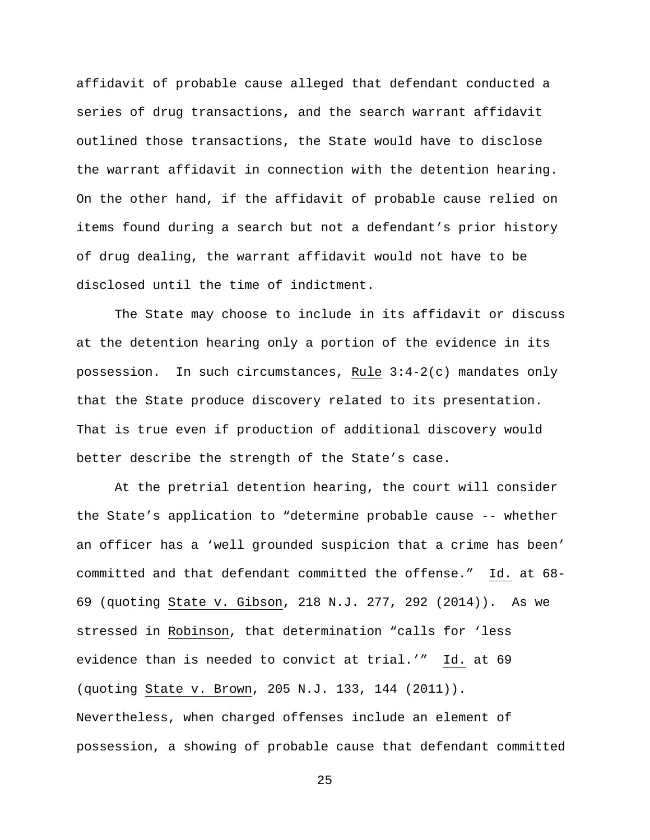affidavit of probable cause alleged that defendant conducted a series of drug transactions, and the search warrant affidavit outlined those transactions, the State would have to disclose the warrant affidavit in connection with the detention hearing. On the other hand, if the affidavit of probable cause relied on items found during a search but not a defendant's prior history of drug dealing, the warrant affidavit would not have to be disclosed until the time of indictment.

The State may choose to include in its affidavit or discuss at the detention hearing only a portion of the evidence in its possession. In such circumstances, Rule 3:4-2(c) mandates only that the State produce discovery related to its presentation. That is true even if production of additional discovery would better describe the strength of the State's case.

At the pretrial detention hearing, the court will consider the State's application to "determine probable cause -- whether an officer has a 'well grounded suspicion that a crime has been' committed and that defendant committed the offense." Id. at 68- 69 (quoting State v. Gibson, 218 N.J. 277, 292 (2014)). As we stressed in Robinson, that determination "calls for 'less evidence than is needed to convict at trial.'" Id. at 69 (quoting State v. Brown, 205 N.J. 133, 144 (2011)). Nevertheless, when charged offenses include an element of possession, a showing of probable cause that defendant committed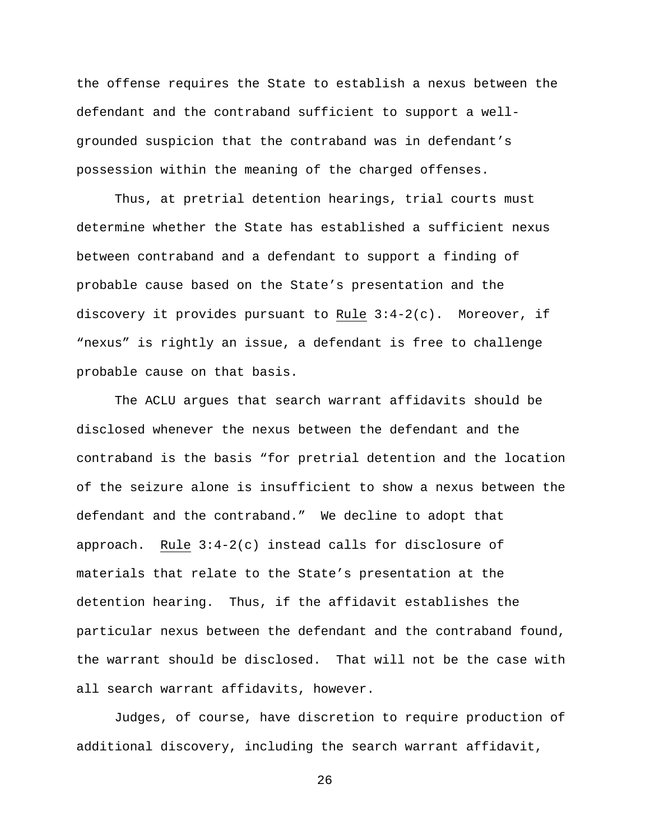the offense requires the State to establish a nexus between the defendant and the contraband sufficient to support a wellgrounded suspicion that the contraband was in defendant's possession within the meaning of the charged offenses.

Thus, at pretrial detention hearings, trial courts must determine whether the State has established a sufficient nexus between contraband and a defendant to support a finding of probable cause based on the State's presentation and the discovery it provides pursuant to Rule 3:4-2(c). Moreover, if "nexus" is rightly an issue, a defendant is free to challenge probable cause on that basis.

The ACLU argues that search warrant affidavits should be disclosed whenever the nexus between the defendant and the contraband is the basis "for pretrial detention and the location of the seizure alone is insufficient to show a nexus between the defendant and the contraband." We decline to adopt that approach. Rule  $3:4-2(c)$  instead calls for disclosure of materials that relate to the State's presentation at the detention hearing. Thus, if the affidavit establishes the particular nexus between the defendant and the contraband found, the warrant should be disclosed. That will not be the case with all search warrant affidavits, however.

Judges, of course, have discretion to require production of additional discovery, including the search warrant affidavit,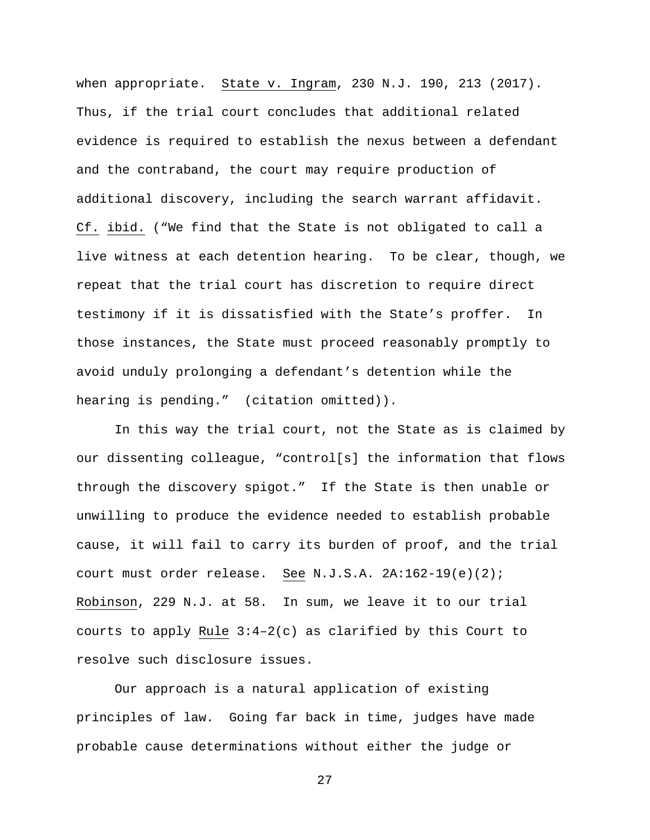when appropriate. State v. Ingram, 230 N.J. 190, 213 (2017). Thus, if the trial court concludes that additional related evidence is required to establish the nexus between a defendant and the contraband, the court may require production of additional discovery, including the search warrant affidavit. Cf. ibid. ("We find that the State is not obligated to call a live witness at each detention hearing. To be clear, though, we repeat that the trial court has discretion to require direct testimony if it is dissatisfied with the State's proffer. In those instances, the State must proceed reasonably promptly to avoid unduly prolonging a defendant's detention while the hearing is pending." (citation omitted)).

In this way the trial court, not the State as is claimed by our dissenting colleague, "control[s] the information that flows through the discovery spigot." If the State is then unable or unwilling to produce the evidence needed to establish probable cause, it will fail to carry its burden of proof, and the trial court must order release. See N.J.S.A. 2A:162-19(e)(2); Robinson, 229 N.J. at 58. In sum, we leave it to our trial courts to apply Rule  $3:4-2(c)$  as clarified by this Court to resolve such disclosure issues.

Our approach is a natural application of existing principles of law. Going far back in time, judges have made probable cause determinations without either the judge or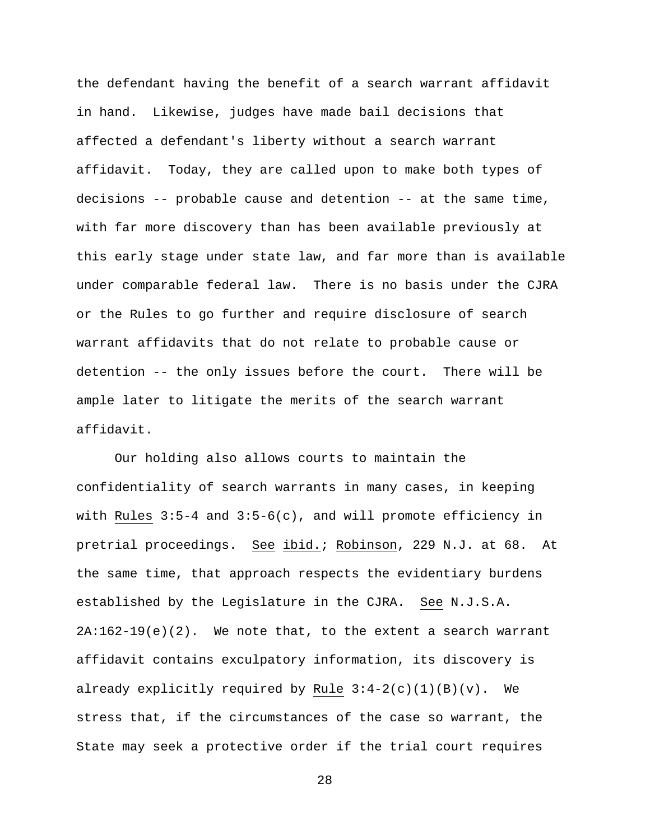the defendant having the benefit of a search warrant affidavit in hand. Likewise, judges have made bail decisions that affected a defendant's liberty without a search warrant affidavit. Today, they are called upon to make both types of decisions -- probable cause and detention -- at the same time, with far more discovery than has been available previously at this early stage under state law, and far more than is available under comparable federal law. There is no basis under the CJRA or the Rules to go further and require disclosure of search warrant affidavits that do not relate to probable cause or detention -- the only issues before the court. There will be ample later to litigate the merits of the search warrant affidavit.

Our holding also allows courts to maintain the confidentiality of search warrants in many cases, in keeping with Rules 3:5-4 and 3:5-6(c), and will promote efficiency in pretrial proceedings. See ibid.; Robinson, 229 N.J. at 68. At the same time, that approach respects the evidentiary burdens established by the Legislature in the CJRA. See N.J.S.A.  $2A:162-19(e)(2)$ . We note that, to the extent a search warrant affidavit contains exculpatory information, its discovery is already explicitly required by Rule  $3:4-2(c)(1)(B)(v)$ . We stress that, if the circumstances of the case so warrant, the State may seek a protective order if the trial court requires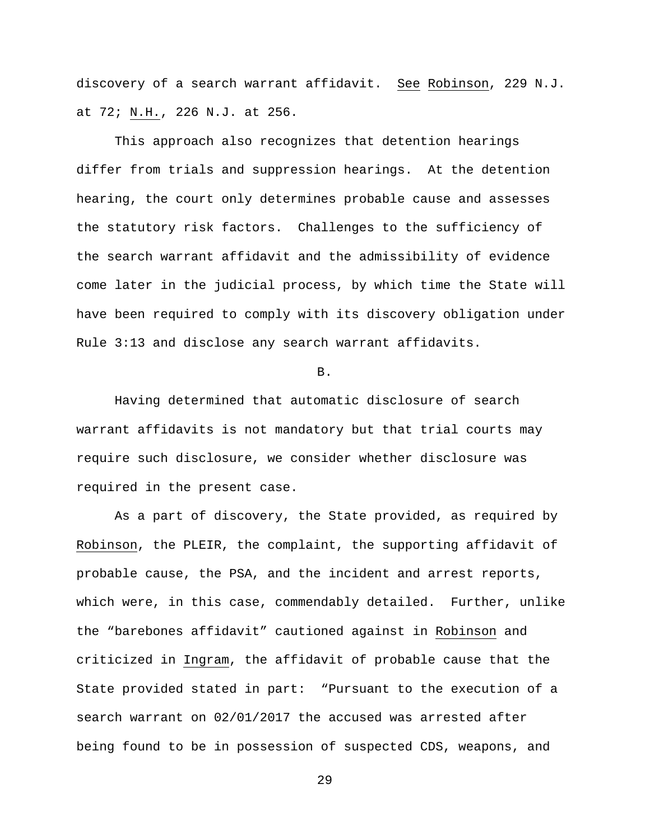discovery of a search warrant affidavit. See Robinson, 229 N.J. at 72; N.H., 226 N.J. at 256.

This approach also recognizes that detention hearings differ from trials and suppression hearings. At the detention hearing, the court only determines probable cause and assesses the statutory risk factors. Challenges to the sufficiency of the search warrant affidavit and the admissibility of evidence come later in the judicial process, by which time the State will have been required to comply with its discovery obligation under Rule 3:13 and disclose any search warrant affidavits.

B.

Having determined that automatic disclosure of search warrant affidavits is not mandatory but that trial courts may require such disclosure, we consider whether disclosure was required in the present case.

As a part of discovery, the State provided, as required by Robinson, the PLEIR, the complaint, the supporting affidavit of probable cause, the PSA, and the incident and arrest reports, which were, in this case, commendably detailed. Further, unlike the "barebones affidavit" cautioned against in Robinson and criticized in Ingram, the affidavit of probable cause that the State provided stated in part: "Pursuant to the execution of a search warrant on 02/01/2017 the accused was arrested after being found to be in possession of suspected CDS, weapons, and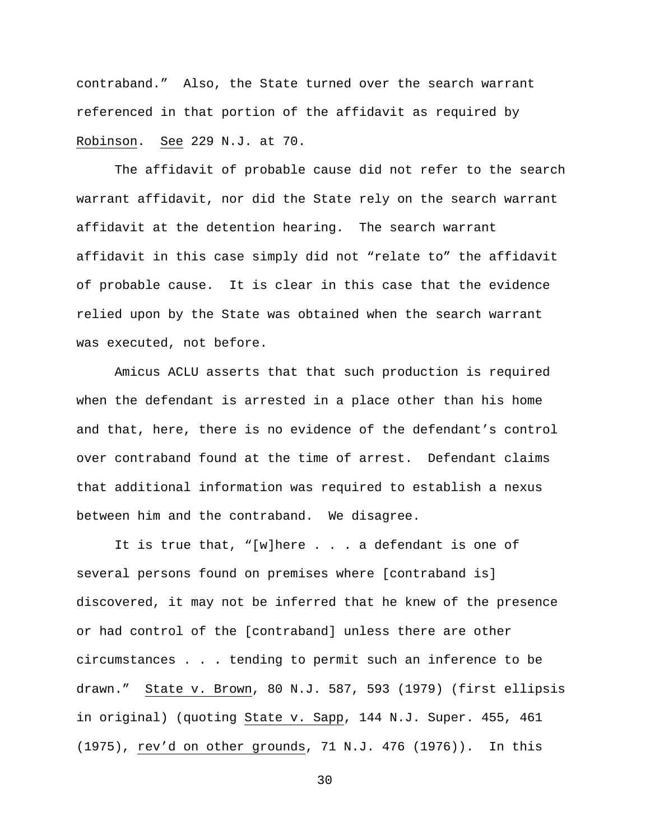contraband." Also, the State turned over the search warrant referenced in that portion of the affidavit as required by Robinson. See 229 N.J. at 70.

The affidavit of probable cause did not refer to the search warrant affidavit, nor did the State rely on the search warrant affidavit at the detention hearing. The search warrant affidavit in this case simply did not "relate to" the affidavit of probable cause. It is clear in this case that the evidence relied upon by the State was obtained when the search warrant was executed, not before.

Amicus ACLU asserts that that such production is required when the defendant is arrested in a place other than his home and that, here, there is no evidence of the defendant's control over contraband found at the time of arrest. Defendant claims that additional information was required to establish a nexus between him and the contraband. We disagree.

It is true that, "[w]here . . . a defendant is one of several persons found on premises where [contraband is] discovered, it may not be inferred that he knew of the presence or had control of the [contraband] unless there are other circumstances . . . tending to permit such an inference to be drawn." State v. Brown, 80 N.J. 587, 593 (1979) (first ellipsis in original) (quoting State v. Sapp, 144 N.J. Super. 455, 461 (1975), rev'd on other grounds, 71 N.J. 476 (1976)). In this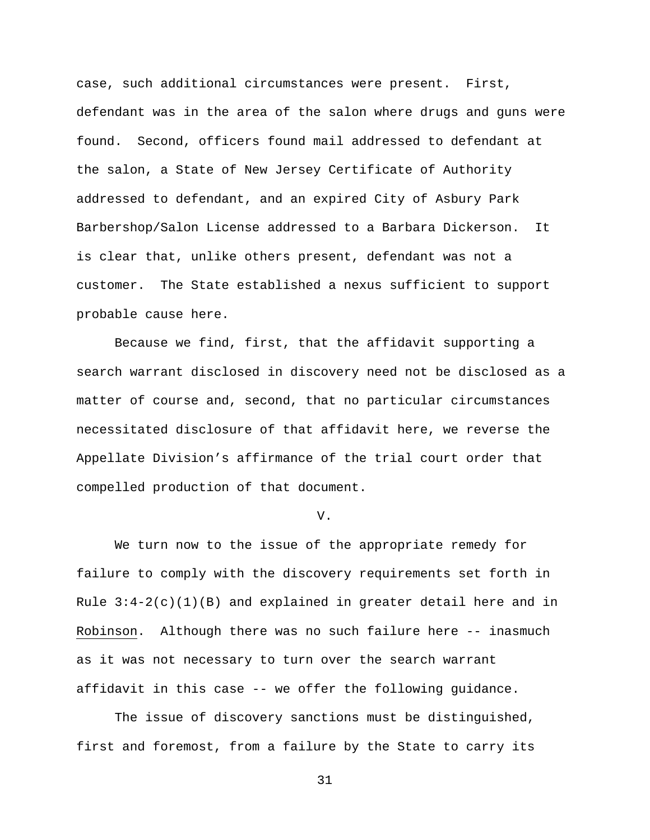case, such additional circumstances were present. First, defendant was in the area of the salon where drugs and guns were found. Second, officers found mail addressed to defendant at the salon, a State of New Jersey Certificate of Authority addressed to defendant, and an expired City of Asbury Park Barbershop/Salon License addressed to a Barbara Dickerson. It is clear that, unlike others present, defendant was not a customer. The State established a nexus sufficient to support probable cause here.

Because we find, first, that the affidavit supporting a search warrant disclosed in discovery need not be disclosed as a matter of course and, second, that no particular circumstances necessitated disclosure of that affidavit here, we reverse the Appellate Division's affirmance of the trial court order that compelled production of that document.

#### V.

We turn now to the issue of the appropriate remedy for failure to comply with the discovery requirements set forth in Rule  $3:4-2(c)(1)(B)$  and explained in greater detail here and in Robinson. Although there was no such failure here -- inasmuch as it was not necessary to turn over the search warrant affidavit in this case -- we offer the following guidance.

The issue of discovery sanctions must be distinguished, first and foremost, from a failure by the State to carry its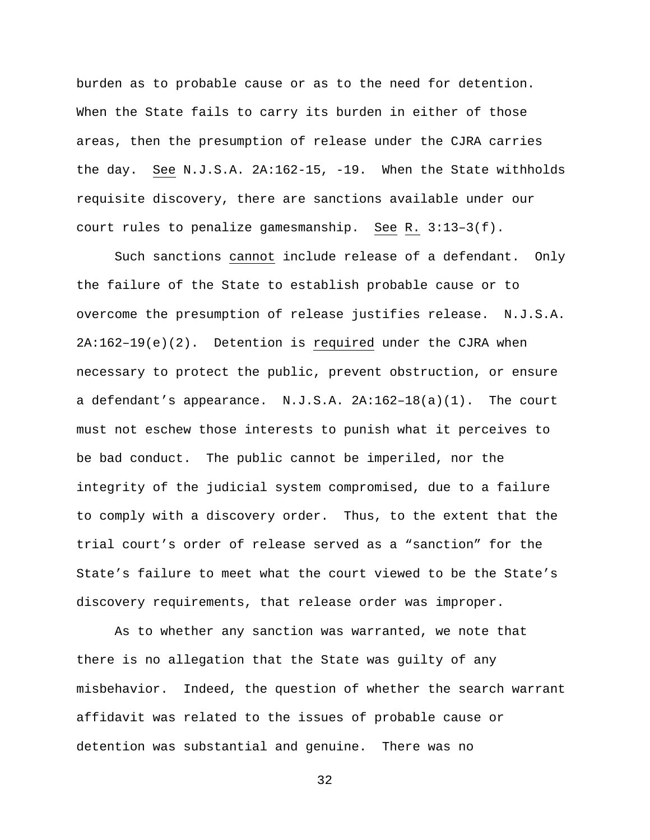burden as to probable cause or as to the need for detention. When the State fails to carry its burden in either of those areas, then the presumption of release under the CJRA carries the day. See N.J.S.A. 2A:162-15, -19. When the State withholds requisite discovery, there are sanctions available under our court rules to penalize gamesmanship. See R. 3:13–3(f).

Such sanctions cannot include release of a defendant. Only the failure of the State to establish probable cause or to overcome the presumption of release justifies release. N.J.S.A. 2A:162–19(e)(2). Detention is required under the CJRA when necessary to protect the public, prevent obstruction, or ensure a defendant's appearance. N.J.S.A. 2A:162–18(a)(1). The court must not eschew those interests to punish what it perceives to be bad conduct. The public cannot be imperiled, nor the integrity of the judicial system compromised, due to a failure to comply with a discovery order. Thus, to the extent that the trial court's order of release served as a "sanction" for the State's failure to meet what the court viewed to be the State's discovery requirements, that release order was improper.

As to whether any sanction was warranted, we note that there is no allegation that the State was guilty of any misbehavior. Indeed, the question of whether the search warrant affidavit was related to the issues of probable cause or detention was substantial and genuine. There was no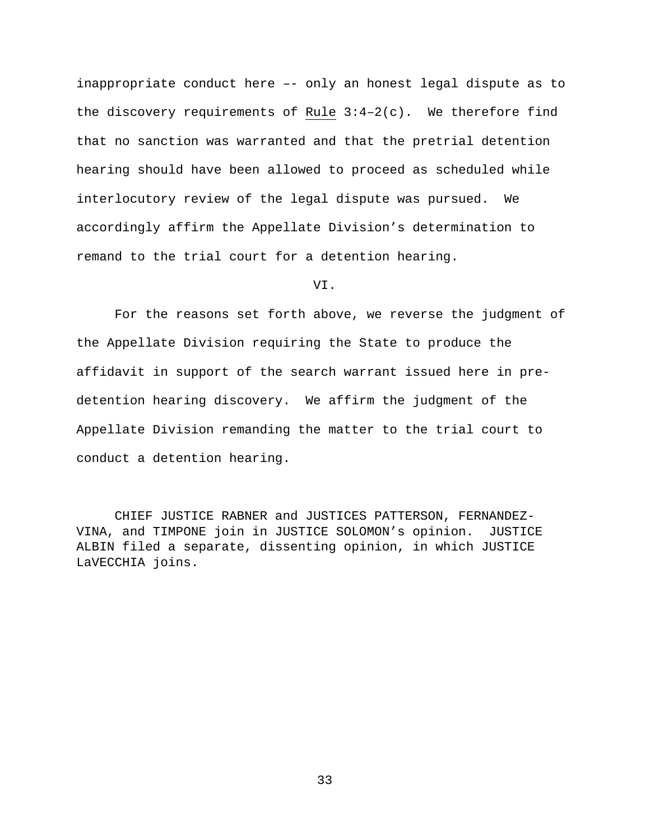inappropriate conduct here –- only an honest legal dispute as to the discovery requirements of Rule  $3:4-2(c)$ . We therefore find that no sanction was warranted and that the pretrial detention hearing should have been allowed to proceed as scheduled while interlocutory review of the legal dispute was pursued. We accordingly affirm the Appellate Division's determination to remand to the trial court for a detention hearing.

VI.

For the reasons set forth above, we reverse the judgment of the Appellate Division requiring the State to produce the affidavit in support of the search warrant issued here in predetention hearing discovery. We affirm the judgment of the Appellate Division remanding the matter to the trial court to conduct a detention hearing.

CHIEF JUSTICE RABNER and JUSTICES PATTERSON, FERNANDEZ-VINA, and TIMPONE join in JUSTICE SOLOMON's opinion. JUSTICE ALBIN filed a separate, dissenting opinion, in which JUSTICE LaVECCHIA joins.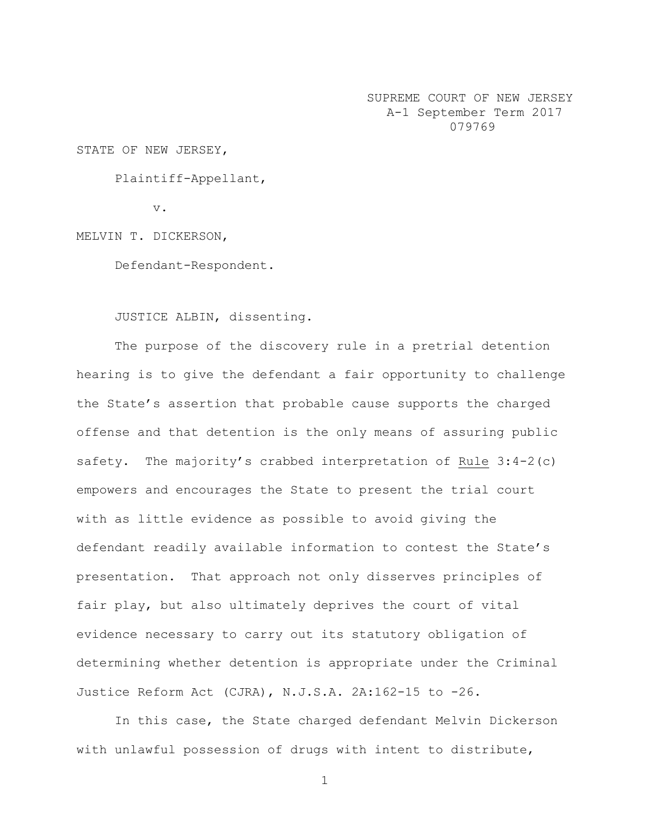SUPREME COURT OF NEW JERSEY A-1 September Term 2017 079769

STATE OF NEW JERSEY,

Plaintiff-Appellant,

v.

MELVIN T. DICKERSON,

Defendant-Respondent.

JUSTICE ALBIN, dissenting.

The purpose of the discovery rule in a pretrial detention hearing is to give the defendant a fair opportunity to challenge the State's assertion that probable cause supports the charged offense and that detention is the only means of assuring public safety. The majority's crabbed interpretation of Rule 3:4-2(c) empowers and encourages the State to present the trial court with as little evidence as possible to avoid giving the defendant readily available information to contest the State's presentation. That approach not only disserves principles of fair play, but also ultimately deprives the court of vital evidence necessary to carry out its statutory obligation of determining whether detention is appropriate under the Criminal Justice Reform Act (CJRA), N.J.S.A. 2A:162-15 to -26.

In this case, the State charged defendant Melvin Dickerson with unlawful possession of drugs with intent to distribute,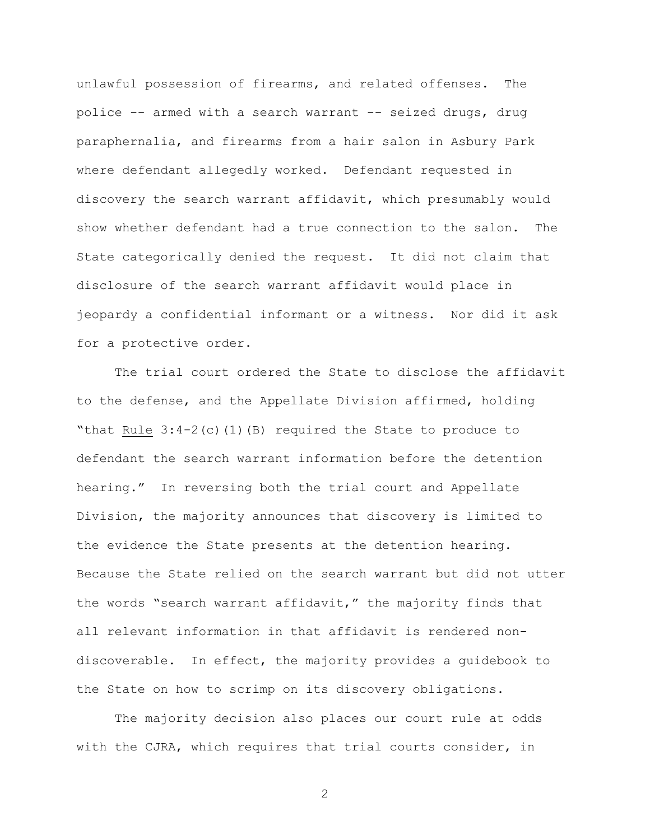unlawful possession of firearms, and related offenses. The police -- armed with a search warrant -- seized drugs, drug paraphernalia, and firearms from a hair salon in Asbury Park where defendant allegedly worked. Defendant requested in discovery the search warrant affidavit, which presumably would show whether defendant had a true connection to the salon. The State categorically denied the request. It did not claim that disclosure of the search warrant affidavit would place in jeopardy a confidential informant or a witness. Nor did it ask for a protective order.

The trial court ordered the State to disclose the affidavit to the defense, and the Appellate Division affirmed, holding "that Rule  $3:4-2(c)(1)(B)$  required the State to produce to defendant the search warrant information before the detention hearing." In reversing both the trial court and Appellate Division, the majority announces that discovery is limited to the evidence the State presents at the detention hearing. Because the State relied on the search warrant but did not utter the words "search warrant affidavit," the majority finds that all relevant information in that affidavit is rendered nondiscoverable. In effect, the majority provides a guidebook to the State on how to scrimp on its discovery obligations.

The majority decision also places our court rule at odds with the CJRA, which requires that trial courts consider, in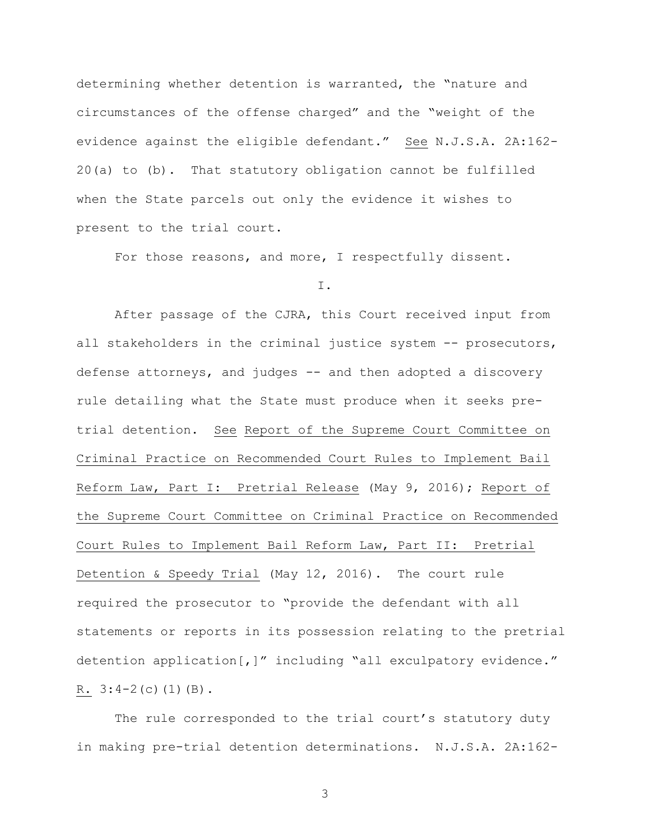determining whether detention is warranted, the "nature and circumstances of the offense charged" and the "weight of the evidence against the eligible defendant." See N.J.S.A. 2A:162- 20(a) to (b). That statutory obligation cannot be fulfilled when the State parcels out only the evidence it wishes to present to the trial court.

For those reasons, and more, I respectfully dissent.

I.

After passage of the CJRA, this Court received input from all stakeholders in the criminal justice system -- prosecutors, defense attorneys, and judges -- and then adopted a discovery rule detailing what the State must produce when it seeks pretrial detention. See Report of the Supreme Court Committee on Criminal Practice on Recommended Court Rules to Implement Bail Reform Law, Part I: Pretrial Release (May 9, 2016); Report of the Supreme Court Committee on Criminal Practice on Recommended Court Rules to Implement Bail Reform Law, Part II: Pretrial Detention & Speedy Trial (May 12, 2016). The court rule required the prosecutor to "provide the defendant with all statements or reports in its possession relating to the pretrial detention application[,]" including "all exculpatory evidence." R.  $3:4-2(c)(1)(B)$ .

The rule corresponded to the trial court's statutory duty in making pre-trial detention determinations. N.J.S.A. 2A:162-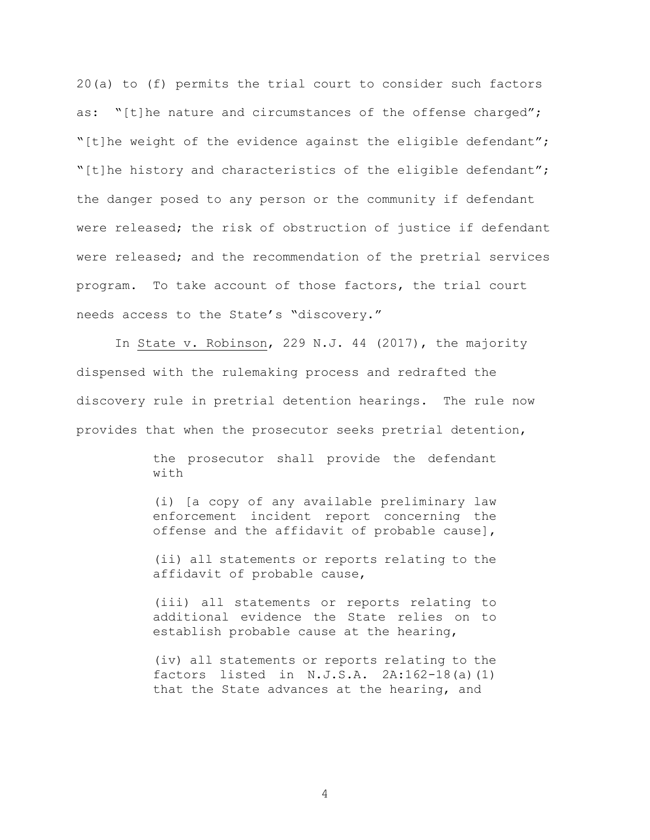20(a) to (f) permits the trial court to consider such factors as: "[t]he nature and circumstances of the offense charged"; "[t]he weight of the evidence against the eligible defendant"; "[t]he history and characteristics of the eligible defendant"; the danger posed to any person or the community if defendant were released; the risk of obstruction of justice if defendant were released; and the recommendation of the pretrial services program. To take account of those factors, the trial court needs access to the State's "discovery."

In State v. Robinson, 229 N.J. 44 (2017), the majority dispensed with the rulemaking process and redrafted the discovery rule in pretrial detention hearings. The rule now provides that when the prosecutor seeks pretrial detention,

> the prosecutor shall provide the defendant with

> (i) [a copy of any available preliminary law enforcement incident report concerning the offense and the affidavit of probable cause],

> (ii) all statements or reports relating to the affidavit of probable cause,

> (iii) all statements or reports relating to additional evidence the State relies on to establish probable cause at the hearing,

> (iv) all statements or reports relating to the factors listed in  $N.J.S.A.$   $2A:162-18(a)(1)$ that the State advances at the hearing, and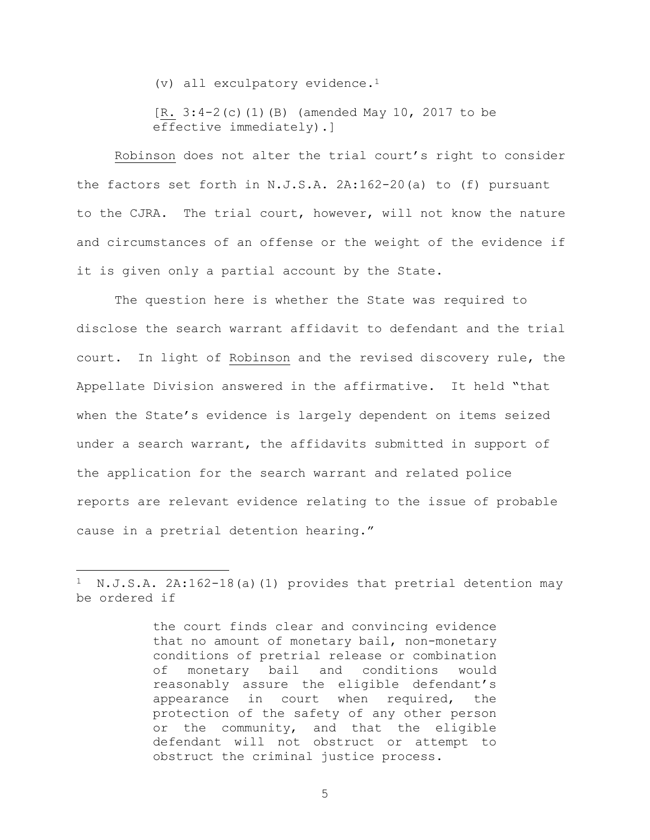(v) all exculpatory evidence.<sup>1</sup>

[R. 3:4-2(c)(1)(B) (amended May 10, 2017 to be effective immediately).]

Robinson does not alter the trial court's right to consider the factors set forth in N.J.S.A. 2A:162-20(a) to (f) pursuant to the CJRA. The trial court, however, will not know the nature and circumstances of an offense or the weight of the evidence if it is given only a partial account by the State.

The question here is whether the State was required to disclose the search warrant affidavit to defendant and the trial court. In light of Robinson and the revised discovery rule, the Appellate Division answered in the affirmative. It held "that when the State's evidence is largely dependent on items seized under a search warrant, the affidavits submitted in support of the application for the search warrant and related police reports are relevant evidence relating to the issue of probable cause in a pretrial detention hearing."

 $\overline{a}$ 

 $1$  N.J.S.A. 2A:162-18(a)(1) provides that pretrial detention may be ordered if

the court finds clear and convincing evidence that no amount of monetary bail, non-monetary conditions of pretrial release or combination of monetary bail and conditions would reasonably assure the eligible defendant's appearance in court when required, the protection of the safety of any other person or the community, and that the eligible defendant will not obstruct or attempt to obstruct the criminal justice process.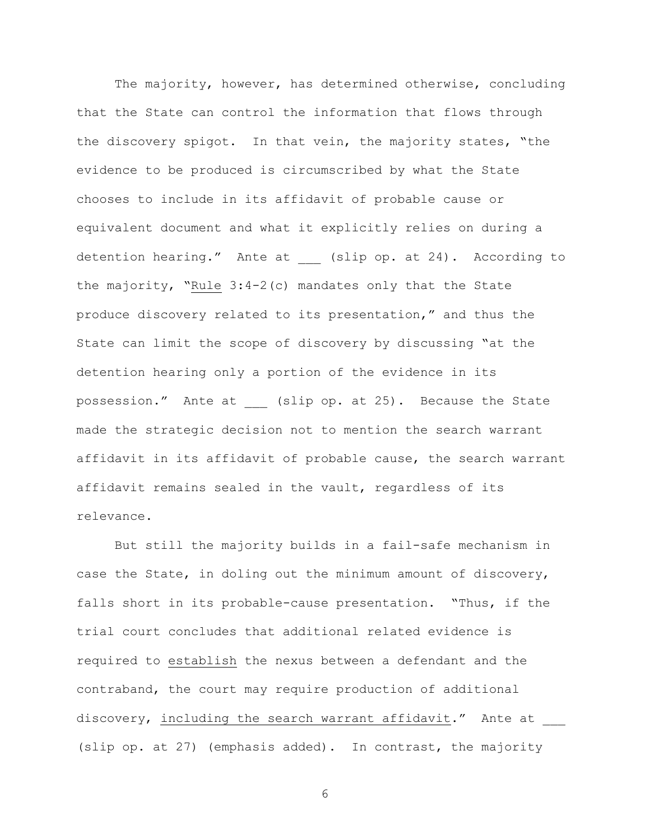The majority, however, has determined otherwise, concluding that the State can control the information that flows through the discovery spigot. In that vein, the majority states, "the evidence to be produced is circumscribed by what the State chooses to include in its affidavit of probable cause or equivalent document and what it explicitly relies on during a detention hearing." Ante at (slip op. at 24). According to the majority, "Rule 3:4-2(c) mandates only that the State produce discovery related to its presentation," and thus the State can limit the scope of discovery by discussing "at the detention hearing only a portion of the evidence in its possession." Ante at (slip op. at 25). Because the State made the strategic decision not to mention the search warrant affidavit in its affidavit of probable cause, the search warrant affidavit remains sealed in the vault, regardless of its relevance.

But still the majority builds in a fail-safe mechanism in case the State, in doling out the minimum amount of discovery, falls short in its probable-cause presentation. "Thus, if the trial court concludes that additional related evidence is required to establish the nexus between a defendant and the contraband, the court may require production of additional discovery, including the search warrant affidavit." Ante at (slip op. at 27) (emphasis added). In contrast, the majority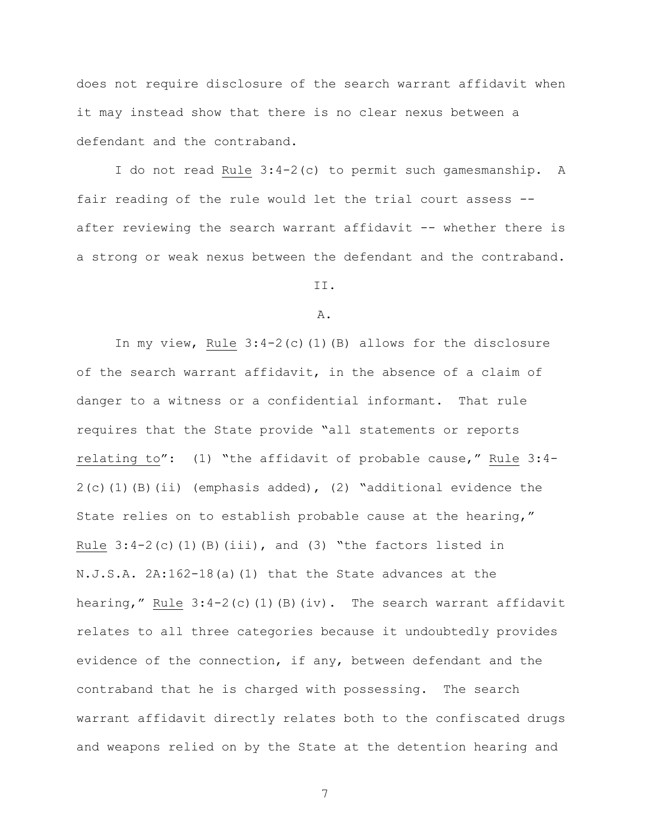does not require disclosure of the search warrant affidavit when it may instead show that there is no clear nexus between a defendant and the contraband.

I do not read Rule 3:4-2(c) to permit such gamesmanship. A fair reading of the rule would let the trial court assess - after reviewing the search warrant affidavit -- whether there is a strong or weak nexus between the defendant and the contraband.

II.

#### A.

In my view, Rule 3:4-2(c)(1)(B) allows for the disclosure of the search warrant affidavit, in the absence of a claim of danger to a witness or a confidential informant. That rule requires that the State provide "all statements or reports relating to": (1) "the affidavit of probable cause," Rule 3:4-  $2(c)$ (1)(B)(ii) (emphasis added), (2) "additional evidence the State relies on to establish probable cause at the hearing," Rule  $3:4-2$  (c)(1)(B)(iii), and (3) "the factors listed in N.J.S.A. 2A:162-18(a)(1) that the State advances at the hearing," Rule  $3:4-2$  (c)(1)(B)(iv). The search warrant affidavit relates to all three categories because it undoubtedly provides evidence of the connection, if any, between defendant and the contraband that he is charged with possessing. The search warrant affidavit directly relates both to the confiscated drugs and weapons relied on by the State at the detention hearing and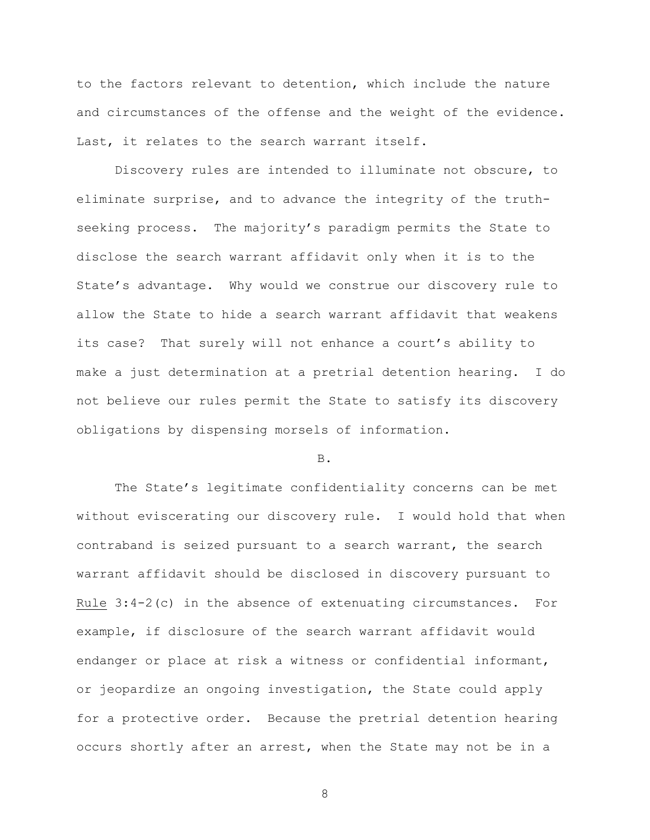to the factors relevant to detention, which include the nature and circumstances of the offense and the weight of the evidence. Last, it relates to the search warrant itself.

Discovery rules are intended to illuminate not obscure, to eliminate surprise, and to advance the integrity of the truthseeking process. The majority's paradigm permits the State to disclose the search warrant affidavit only when it is to the State's advantage. Why would we construe our discovery rule to allow the State to hide a search warrant affidavit that weakens its case? That surely will not enhance a court's ability to make a just determination at a pretrial detention hearing. I do not believe our rules permit the State to satisfy its discovery obligations by dispensing morsels of information.

# B.

The State's legitimate confidentiality concerns can be met without eviscerating our discovery rule. I would hold that when contraband is seized pursuant to a search warrant, the search warrant affidavit should be disclosed in discovery pursuant to Rule 3:4-2(c) in the absence of extenuating circumstances. For example, if disclosure of the search warrant affidavit would endanger or place at risk a witness or confidential informant, or jeopardize an ongoing investigation, the State could apply for a protective order. Because the pretrial detention hearing occurs shortly after an arrest, when the State may not be in a